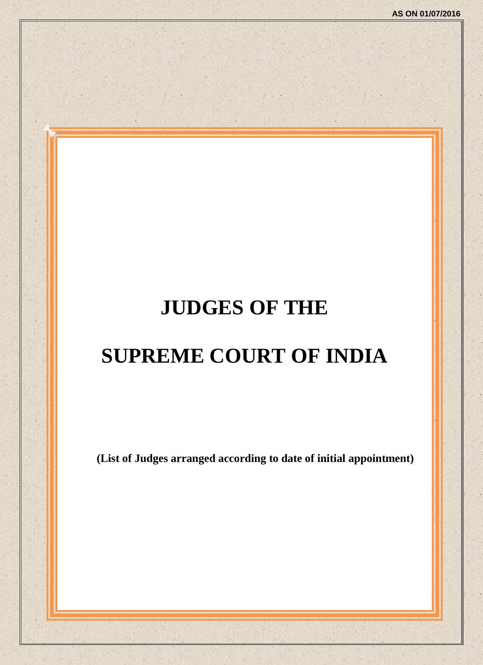# **JUDGES OF THE**

# **SUPREME COURT OF INDIA**

**(List of Judges arranged according to date of initial appointment)**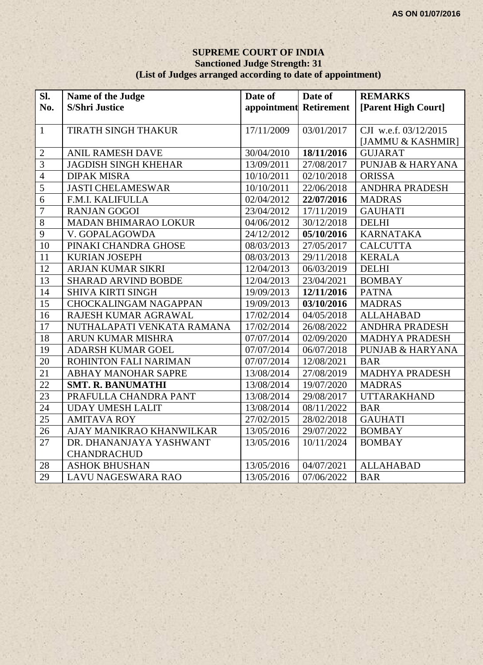#### **SUPREME COURT OF INDIA Sanctioned Judge Strength: 31 (List of Judges arranged according to date of appointment)**

| Sl.             | Name of the Judge            | Date of                | Date of    | <b>REMARKS</b>              |
|-----------------|------------------------------|------------------------|------------|-----------------------------|
| No.             | <b>S/Shri Justice</b>        | appointment Retirement |            | [Parent High Court]         |
|                 |                              |                        |            |                             |
| $\mathbf{1}$    | TIRATH SINGH THAKUR          | 17/11/2009             | 03/01/2017 | CJI w.e.f. 03/12/2015       |
|                 |                              |                        |            | [JAMMU & KASHMIR]           |
| $\overline{2}$  | ANIL RAMESH DAVE             | 30/04/2010             | 18/11/2016 | <b>GUJARAT</b>              |
| $\overline{3}$  | <b>JAGDISH SINGH KHEHAR</b>  | 13/09/2011             | 27/08/2017 | <b>PUNJAB &amp; HARYANA</b> |
| $\overline{4}$  | <b>DIPAK MISRA</b>           | 10/10/2011             | 02/10/2018 | <b>ORISSA</b>               |
| $\overline{5}$  | <b>JASTI CHELAMESWAR</b>     | 10/10/2011             | 22/06/2018 | <b>ANDHRA PRADESH</b>       |
| 6               | F.M.I. KALIFULLA             | 02/04/2012             | 22/07/2016 | <b>MADRAS</b>               |
| $\overline{7}$  | <b>RANJAN GOGOI</b>          | 23/04/2012             | 17/11/2019 | <b>GAUHATI</b>              |
| $\overline{8}$  | <b>MADAN BHIMARAO LOKUR</b>  | 04/06/2012             | 30/12/2018 | <b>DELHI</b>                |
| $\overline{9}$  | V. GOPALAGOWDA               | 24/12/2012             | 05/10/2016 | <b>KARNATAKA</b>            |
| 10              | PINAKI CHANDRA GHOSE         | 08/03/2013             | 27/05/2017 | <b>CALCUTTA</b>             |
| 11              | <b>KURIAN JOSEPH</b>         | 08/03/2013             | 29/11/2018 | <b>KERALA</b>               |
| 12              | ARJAN KUMAR SIKRI            | 12/04/2013             | 06/03/2019 | <b>DELHI</b>                |
| $\overline{13}$ | <b>SHARAD ARVIND BOBDE</b>   | 12/04/2013             | 23/04/2021 | <b>BOMBAY</b>               |
| 14              | <b>SHIVA KIRTI SINGH</b>     | 19/09/2013             | 12/11/2016 | <b>PATNA</b>                |
| 15              | <b>CHOCKALINGAM NAGAPPAN</b> | 19/09/2013             | 03/10/2016 | <b>MADRAS</b>               |
| 16              | RAJESH KUMAR AGRAWAL         | 17/02/2014             | 04/05/2018 | <b>ALLAHABAD</b>            |
| $\overline{17}$ | NUTHALAPATI VENKATA RAMANA   | 17/02/2014             | 26/08/2022 | ANDHRA PRADESH              |
| 18              | ARUN KUMAR MISHRA            | 07/07/2014             | 02/09/2020 | <b>MADHYA PRADESH</b>       |
| 19              | <b>ADARSH KUMAR GOEL</b>     | 07/07/2014             | 06/07/2018 | <b>PUNJAB &amp; HARYANA</b> |
| $\overline{20}$ | ROHINTON FALI NARIMAN        | 07/07/2014             | 12/08/2021 | <b>BAR</b>                  |
| $\overline{21}$ | ABHAY MANOHAR SAPRE          | 13/08/2014             | 27/08/2019 | <b>MADHYA PRADESH</b>       |
| $\overline{22}$ | <b>SMT. R. BANUMATHI</b>     | 13/08/2014             | 19/07/2020 | <b>MADRAS</b>               |
| $\overline{23}$ | PRAFULLA CHANDRA PANT        | 13/08/2014             | 29/08/2017 | <b>UTTARAKHAND</b>          |
| 24              | <b>UDAY UMESH LALIT</b>      | 13/08/2014             | 08/11/2022 | <b>BAR</b>                  |
| 25              | <b>AMITAVA ROY</b>           | 27/02/2015             | 28/02/2018 | <b>GAUHATI</b>              |
| 26              | AJAY MANIKRAO KHANWILKAR     | 13/05/2016             | 29/07/2022 | <b>BOMBAY</b>               |
| 27              | DR. DHANANJAYA YASHWANT      | 13/05/2016             | 10/11/2024 | <b>BOMBAY</b>               |
|                 | <b>CHANDRACHUD</b>           |                        |            |                             |
| 28              | <b>ASHOK BHUSHAN</b>         | 13/05/2016             | 04/07/2021 | <b>ALLAHABAD</b>            |
| 29              | <b>LAVU NAGESWARA RAO</b>    | 13/05/2016             | 07/06/2022 | <b>BAR</b>                  |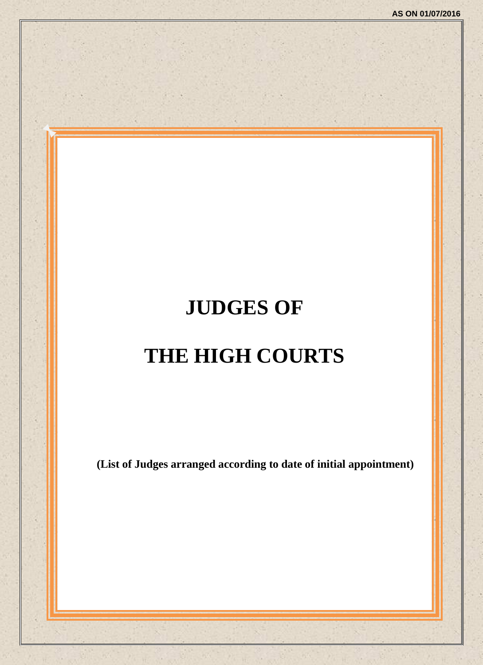# **JUDGES OF THE HIGH COURTS**

**(List of Judges arranged according to date of initial appointment)**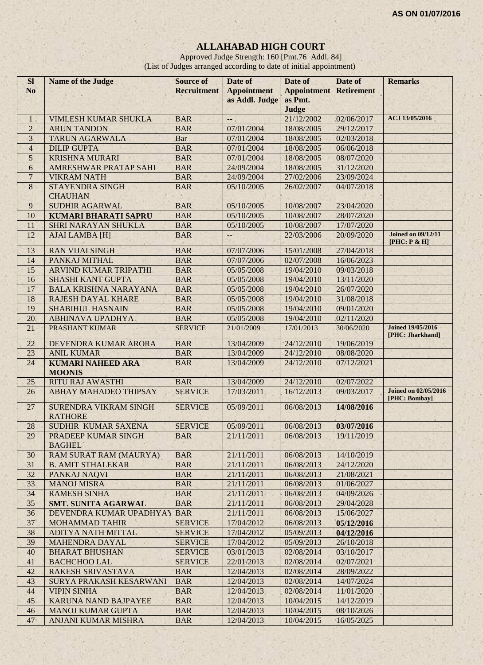# **ALLAHABAD HIGH COURT**

Approved Judge Strength: 160 [Pmt.76 Addl. 84] (List of Judges arranged according to date of initial appointment)

| <b>Sl</b>       | <b>Name of the Judge</b>                       | <b>Source of</b>   | Date of                                       | Date of            | Date of           | <b>Remarks</b>                               |
|-----------------|------------------------------------------------|--------------------|-----------------------------------------------|--------------------|-------------------|----------------------------------------------|
| N <sub>o</sub>  |                                                | <b>Recruitment</b> | <b>Appointment</b>                            | <b>Appointment</b> | <b>Retirement</b> |                                              |
|                 |                                                |                    | as Addl. Judge                                | as Pmt.            |                   |                                              |
|                 |                                                |                    |                                               | Judge              |                   |                                              |
| $\mathbf{1}$    | <b>VIMLESH KUMAR SHUKLA</b>                    | <b>BAR</b>         | ц.                                            | 21/12/2002         | 02/06/2017        | ACJ 13/05/2016                               |
| $\overline{2}$  | <b>ARUN TANDON</b>                             | <b>BAR</b>         | 07/01/2004                                    | 18/08/2005         | 29/12/2017        |                                              |
| $\overline{3}$  | <b>TARUN AGARWALA</b>                          | Bar                | 07/01/2004                                    | 18/08/2005         | 02/03/2018        |                                              |
| $\overline{4}$  | <b>DILIP GUPTA</b>                             | <b>BAR</b>         | 07/01/2004                                    | 18/08/2005         | 06/06/2018        |                                              |
| 5               | <b>KRISHNA MURARI</b>                          | <b>BAR</b>         | 07/01/2004                                    | 18/08/2005         | 08/07/2020        |                                              |
| 6               | <b>AMRESHWAR PRATAP SAHI</b>                   | <b>BAR</b>         | 24/09/2004                                    | 18/08/2005         | 31/12/2020        |                                              |
| $\overline{7}$  | <b>VIKRAM NATH</b>                             | <b>BAR</b>         | 24/09/2004                                    | 27/02/2006         | 23/09/2024        |                                              |
| $\,8\,$         | <b>STAYENDRA SINGH</b><br><b>CHAUHAN</b>       | <b>BAR</b>         | 05/10/2005                                    | 26/02/2007         | 04/07/2018        |                                              |
| 9               | <b>SUDHIR AGARWAL</b>                          | <b>BAR</b>         | 05/10/2005                                    | 10/08/2007         | 23/04/2020        |                                              |
| 10              | <b>KUMARI BHARATI SAPRU</b>                    | <b>BAR</b>         | 05/10/2005                                    | 10/08/2007         | 28/07/2020        |                                              |
| 11              | <b>SHRI NARAYAN SHUKLA</b>                     | <b>BAR</b>         | 05/10/2005                                    | 10/08/2007         | 17/07/2020        |                                              |
| 12              | <b>AJAI LAMBA [H]</b>                          | <b>BAR</b>         | $\mathord{\hspace{1pt}\text{--}\hspace{1pt}}$ | 22/03/2006         | 20/09/2020        | <b>Joined on 09/12/11</b><br>[PHC: P & H]    |
| 13              | <b>RAN VIJAI SINGH</b>                         | <b>BAR</b>         | 07/07/2006                                    | 15/01/2008         | 27/04/2018        |                                              |
| 14              | PANKAJ MITHAL                                  | <b>BAR</b>         | 07/07/2006                                    | 02/07/2008         | 16/06/2023        |                                              |
| 15              | ARVIND KUMAR TRIPATHI                          | <b>BAR</b>         | 05/05/2008                                    | 19/04/2010         | 09/03/2018        |                                              |
| 16              | <b>SHASHI KANT GUPTA</b>                       | <b>BAR</b>         | 05/05/2008                                    | 19/04/2010         | 13/11/2020        |                                              |
| 17              | <b>BALA KRISHNA NARAYANA</b>                   | <b>BAR</b>         | 05/05/2008                                    | 19/04/2010         | 26/07/2020        |                                              |
| 18              | <b>RAJESH DAYAL KHARE</b>                      | <b>BAR</b>         | 05/05/2008                                    | 19/04/2010         | 31/08/2018        |                                              |
| 19              | <b>SHABIHUL HASNAIN</b>                        | <b>BAR</b>         | 05/05/2008                                    | 19/04/2010         | 09/01/2020        |                                              |
| 20              | <b>ABHINAVA UPADHYA</b>                        | <b>BAR</b>         | 05/05/2008                                    | 19/04/2010         | 02/11/2020        |                                              |
| 21              | PRASHANT KUMAR                                 | <b>SERVICE</b>     | 21/01/2009                                    | 17/01/2013         | 30/06/2020        | <b>Joined 19/05/2016</b><br>[PHC: Jharkhand] |
| 22              | DEVENDRA KUMAR ARORA                           | <b>BAR</b>         | 13/04/2009                                    | 24/12/2010         | 19/06/2019        |                                              |
| 23              | <b>ANIL KUMAR</b>                              | <b>BAR</b>         | 13/04/2009                                    | 24/12/2010         | 08/08/2020        |                                              |
| 24              | <b>KUMARI NAHEED ARA</b><br><b>MOONIS</b>      | <b>BAR</b>         | 13/04/2009                                    | 24/12/2010         | 07/12/2021        |                                              |
| 25              | <b>RITU RAJ AWASTHI</b>                        | <b>BAR</b>         | 13/04/2009                                    | 24/12/2010         | 02/07/2022        |                                              |
| 26              | <b>ABHAY MAHADEO THIPSAY</b>                   | <b>SERVICE</b>     | 17/03/2011                                    | 16/12/2013         | 09/03/2017        | <b>Joined on 02/05/2016</b>                  |
|                 |                                                |                    |                                               |                    |                   | [PHC: Bombay]                                |
| 27              | <b>SURENDRA VIKRAM SINGH</b><br><b>RATHORE</b> | <b>SERVICE</b>     | 05/09/2011                                    | 06/08/2013         | 14/08/2016        |                                              |
| 28              | SUDHIR KUMAR SAXENA                            | <b>SERVICE</b>     | 05/09/2011                                    | 06/08/2013         | 03/07/2016        |                                              |
| 29              | <b>PRADEEP KUMAR SINGH</b><br><b>BAGHEL</b>    | <b>BAR</b>         | 21/11/2011                                    | 06/08/2013         | 19/11/2019        |                                              |
| 30              | RAM SURAT RAM (MAURYA)                         | <b>BAR</b>         | 21/11/2011                                    | 06/08/2013         | 14/10/2019        |                                              |
| 31              | <b>B. AMIT STHALEKAR</b>                       | <b>BAR</b>         | 21/11/2011                                    | 06/08/2013         | 24/12/2020        |                                              |
| 32              | PANKAJ NAQVI                                   | <b>BAR</b>         | 21/11/2011                                    | 06/08/2013         | 21/08/2021        |                                              |
| 33              | <b>MANOJ MISRA</b>                             | <b>BAR</b>         | 21/11/2011                                    | 06/08/2013         | 01/06/2027        |                                              |
| 34              | <b>RAMESH SINHA</b>                            | <b>BAR</b>         | 21/11/2011                                    | 06/08/2013         | 04/09/2026        |                                              |
| 35              | <b>SMT. SUNITA AGARWAL</b>                     | <b>BAR</b>         | 21/11/2011                                    | 06/08/2013         | 29/04/2028        |                                              |
| 36              | DEVENDRA KUMAR UPADHYAY                        | <b>BAR</b>         | 21/11/2011                                    | 06/08/2013         | 15/06/2027        |                                              |
| 37 <sup>°</sup> | <b>MOHAMMAD TAHIR</b>                          | <b>SERVICE</b>     | 17/04/2012                                    | 06/08/2013         | 05/12/2016        |                                              |
| 38              | ADITYA NATH MITTAL                             | <b>SERVICE</b>     | 17/04/2012                                    | 05/09/2013         | 04/12/2016        |                                              |
| 39              | <b>MAHENDRA DAYAL</b>                          | <b>SERVICE</b>     | 17/04/2012                                    | 05/09/2013         | 26/10/2018        |                                              |
| 40              | <b>BHARAT BHUSHAN</b>                          | <b>SERVICE</b>     | 03/01/2013                                    | 02/08/2014         | 03/10/2017        |                                              |
| 41              | <b>BACHCHOO LAL</b>                            | <b>SERVICE</b>     | 22/01/2013                                    | 02/08/2014         | 02/07/2021        |                                              |
| 42              | RAKESH SRIVASTAVA                              | <b>BAR</b>         | 12/04/2013                                    | 02/08/2014         | 28/09/2022        |                                              |
| 43              | SURYA PRAKASH KESARWANI                        | <b>BAR</b>         | 12/04/2013                                    | 02/08/2014         | 14/07/2024        |                                              |
| 44              | <b>VIPIN SINHA</b>                             | <b>BAR</b>         | 12/04/2013                                    | 02/08/2014         | 11/01/2020        |                                              |
| 45              | <b>KARUNA NAND BAJPAYEE</b>                    | <b>BAR</b>         | 12/04/2013                                    | 10/04/2015         | 14/12/2019        |                                              |
| 46              | <b>MANOJ KUMAR GUPTA</b>                       | <b>BAR</b>         | 12/04/2013                                    | 10/04/2015         | 08/10/2026        |                                              |
| 47              | <b>ANJANI KUMAR MISHRA</b>                     | <b>BAR</b>         | 12/04/2013                                    | 10/04/2015         | 16/05/2025        |                                              |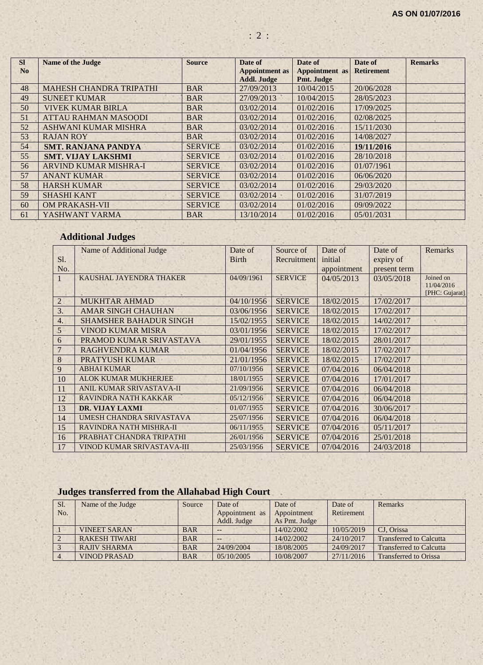| <b>SI</b>      | <b>Name of the Judge</b>       | <b>Source</b>  | Date of                                     | Date of                             | Date of           | <b>Remarks</b> |
|----------------|--------------------------------|----------------|---------------------------------------------|-------------------------------------|-------------------|----------------|
| N <sub>0</sub> |                                |                | <b>Appointment</b> as<br><b>Addl. Judge</b> | <b>Appointment</b> as<br>Pmt. Judge | <b>Retirement</b> |                |
| 48             | <b>MAHESH CHANDRA TRIPATHI</b> | <b>BAR</b>     | 27/09/2013                                  | 10/04/2015                          | 20/06/2028        |                |
| 49             | <b>SUNEET KUMAR</b>            | <b>BAR</b>     | 27/09/2013                                  | 10/04/2015                          | 28/05/2023        |                |
| 50             | <b>VIVEK KUMAR BIRLA</b>       | <b>BAR</b>     | 03/02/2014                                  | 01/02/2016                          | 17/09/2025        |                |
| 51             | <b>ATTAU RAHMAN MASOODI</b>    | <b>BAR</b>     | 03/02/2014                                  | 01/02/2016                          | 02/08/2025        |                |
| 52             | ASHWANI KUMAR MISHRA           | <b>BAR</b>     | 03/02/2014                                  | 01/02/2016                          | 15/11/2030        |                |
| 53             | <b>RAJAN ROY</b>               | <b>BAR</b>     | 03/02/2014                                  | 01/02/2016                          | 14/08/2027        |                |
| 54             | <b>SMT. RANJANA PANDYA</b>     | <b>SERVICE</b> | 03/02/2014                                  | 01/02/2016                          | 19/11/2016        |                |
| 55             | <b>SMT. VIJAY LAKSHMI</b>      | <b>SERVICE</b> | 03/02/2014                                  | 01/02/2016                          | 28/10/2018        |                |
| 56             | <b>ARVIND KUMAR MISHRA-I</b>   | <b>SERVICE</b> | 03/02/2014                                  | 01/02/2016                          | 01/07/1961        |                |
| 57             | <b>ANANT KUMAR</b>             | <b>SERVICE</b> | 03/02/2014                                  | 01/02/2016                          | 06/06/2020        |                |
| 58             | <b>HARSH KUMAR</b>             | <b>SERVICE</b> | 03/02/2014                                  | 01/02/2016                          | 29/03/2020        |                |
| 59             | <b>SHASHI KANT</b>             | <b>SERVICE</b> | 03/02/2014                                  | 01/02/2016                          | 31/07/2019        |                |
| 60             | <b>OM PRAKASH-VII</b>          | <b>SERVICE</b> | 03/02/2014                                  | 01/02/2016                          | 09/09/2022        |                |
| 61             | YASHWANT VARMA                 | <b>BAR</b>     | 13/10/2014                                  | 01/02/2016                          | 05/01/2031        |                |

: 2 :

# **Additional Judges**

|                  | Name of Additional Judge      | Date of      | Source of      | Date of     | Date of      | Remarks                      |
|------------------|-------------------------------|--------------|----------------|-------------|--------------|------------------------------|
| S1.              |                               | <b>Birth</b> | Recruitment    | initial     | expiry of    |                              |
| No.              |                               |              |                | appointment | present term |                              |
|                  | KAUSHAL JAYENDRA THAKER       | 04/09/1961   | <b>SERVICE</b> | 04/05/2013  | 03/05/2018   | Joined on                    |
|                  |                               |              |                |             |              | 11/04/2016<br>[PHC: Gujarat] |
| $\overline{2}$   | <b>MUKHTAR AHMAD</b>          | 04/10/1956   | <b>SERVICE</b> | 18/02/2015  | 17/02/2017   |                              |
| 3.               | <b>AMAR SINGH CHAUHAN</b>     | 03/06/1956   | <b>SERVICE</b> | 18/02/2015  | 17/02/2017   |                              |
| $\overline{4}$ . | <b>SHAMSHER BAHADUR SINGH</b> | 15/02/1955   | <b>SERVICE</b> | 18/02/2015  | 14/02/2017   |                              |
| 5                | <b>VINOD KUMAR MISRA</b>      | 03/01/1956   | <b>SERVICE</b> | 18/02/2015  | 17/02/2017   |                              |
| 6                | PRAMOD KUMAR SRIVASTAVA       | 29/01/1955   | <b>SERVICE</b> | 18/02/2015  | 28/01/2017   |                              |
| $\overline{7}$   | <b>RAGHVENDRA KUMAR</b>       | 01/04/1956   | <b>SERVICE</b> | 18/02/2015  | 17/02/2017   |                              |
| 8                | <b>PRATYUSH KUMAR</b>         | 21/01/1956   | <b>SERVICE</b> | 18/02/2015  | 17/02/2017   |                              |
| 9                | <b>ABHAI KUMAR</b>            | 07/10/1956   | <b>SERVICE</b> | 07/04/2016  | 06/04/2018   |                              |
| 10               | <b>ALOK KUMAR MUKHERJEE</b>   | 18/01/1955   | <b>SERVICE</b> | 07/04/2016  | 17/01/2017   |                              |
| 11               | ANIL KUMAR SRIVASTAVA-II      | 21/09/1956   | <b>SERVICE</b> | 07/04/2016  | 06/04/2018   |                              |
| 12               | <b>RAVINDRA NATH KAKKAR</b>   | 05/12/1956   | <b>SERVICE</b> | 07/04/2016  | 06/04/2018   |                              |
| 13               | <b>DR. VIJAY LAXMI</b>        | 01/07/1955   | <b>SERVICE</b> | 07/04/2016  | 30/06/2017   |                              |
| 14               | UMESH CHANDRA SRIVASTAVA      | 25/07/1956   | <b>SERVICE</b> | 07/04/2016  | 06/04/2018   |                              |
| 15               | RAVINDRA NATH MISHRA-II       | 06/11/1955   | <b>SERVICE</b> | 07/04/2016  | 05/11/2017   |                              |
| 16               | PRABHAT CHANDRA TRIPATHI      | 26/01/1956   | <b>SERVICE</b> | 07/04/2016  | 25/01/2018   |                              |
| 17               | VINOD KUMAR SRIVASTAVA-III    | 25/03/1956   | <b>SERVICE</b> | 07/04/2016  | 24/03/2018   |                              |

# **Judges transferred from the Allahabad High Court**

| Sl. | Name of the Judge    | Source     | Date of        | Date of       | Date of    | Remarks                        |
|-----|----------------------|------------|----------------|---------------|------------|--------------------------------|
| No. |                      |            | Appointment as | Appointment   | Retirement |                                |
|     |                      |            | Addl. Judge    | As Pmt. Judge |            |                                |
|     | <b>VINEET SARAN</b>  | <b>BAR</b> | $- -$          | 14/02/2002    | 10/05/2019 | CJ. Orissa                     |
|     | <b>RAKESH TIWARI</b> | <b>BAR</b> | $- -$          | 14/02/2002    | 24/10/2017 | <b>Transferred to Calcutta</b> |
|     | <b>RAJIV SHARMA</b>  | <b>BAR</b> | 24/09/2004     | 18/08/2005    | 24/09/2017 | <b>Transferred to Calcutta</b> |
|     | <b>VINOD PRASAD</b>  | <b>BAR</b> | 0.5/10/2005    | 10/08/2007    | 27/11/2016 | <b>Transferred to Orissa</b>   |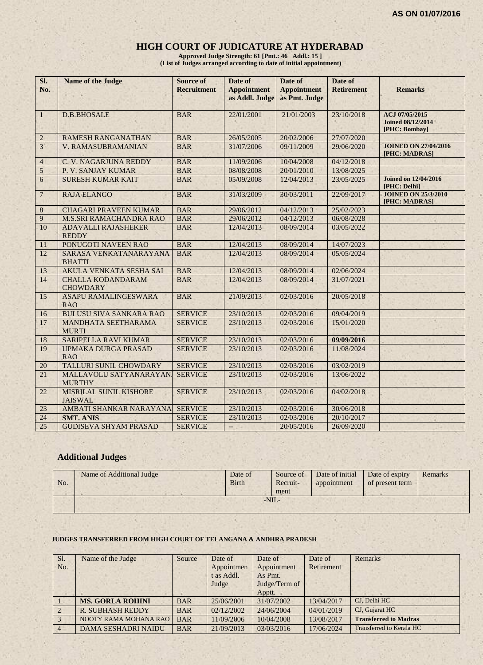# **HIGH COURT OF JUDICATURE AT HYDERABAD**

**Approved Judge Strength: 61 [Pmt.: 46 Addl.: 15 ] (List of Judges arranged according to date of initial appointment)**

| SI.<br>No.      | <b>Name of the Judge</b>                    | <b>Source of</b><br><b>Recruitment</b> | Date of<br><b>Appointment</b><br>as Addl. Judge | Date of<br><b>Appointment</b><br>as Pmt. Judge | Date of<br><b>Retirement</b> | <b>Remarks</b>                                              |
|-----------------|---------------------------------------------|----------------------------------------|-------------------------------------------------|------------------------------------------------|------------------------------|-------------------------------------------------------------|
| $\mathbf{1}$    | <b>D.B.BHOSALE</b>                          | <b>BAR</b>                             | 22/01/2001                                      | 21/01/2003                                     | 23/10/2018                   | ACJ 07/05/2015<br><b>Joined 08/12/2014</b><br>[PHC: Bombay] |
| $\overline{2}$  | <b>RAMESH RANGANATHAN</b>                   | <b>BAR</b>                             | 26/05/2005                                      | 20/02/2006                                     | 27/07/2020                   |                                                             |
| 3 <sup>1</sup>  | V. RAMASUBRAMANIAN                          | <b>BAR</b>                             | 31/07/2006                                      | 09/11/2009                                     | 29/06/2020                   | <b>JOINED ON 27/04/2016</b><br>[PHC: MADRAS]                |
| $\overline{4}$  | C. V. NAGARJUNA REDDY                       | <b>BAR</b>                             | 11/09/2006                                      | 10/04/2008                                     | 04/12/2018                   |                                                             |
| $\sqrt{5}$      | P. V. SANJAY KUMAR                          | <b>BAR</b>                             | 08/08/2008                                      | 20/01/2010                                     | 13/08/2025                   |                                                             |
| 6               | <b>SURESH KUMAR KAIT</b>                    | <b>BAR</b>                             | 05/09/2008                                      | 12/04/2013                                     | 23/05/2025                   | <b>Joined on 12/04/2016</b><br>[PHC: Delhi]                 |
| $\overline{7}$  | <b>RAJA ELANGO</b>                          | <b>BAR</b>                             | 31/03/2009                                      | 30/03/2011                                     | 22/09/2017                   | <b>JOINED ON 25/3/2010</b><br>[PHC: MADRAS]                 |
| $\,8\,$         | <b>CHAGARI PRAVEEN KUMAR</b>                | <b>BAR</b>                             | 29/06/2012                                      | 04/12/2013                                     | 25/02/2023                   |                                                             |
| 9               | <b>M.S.SRI RAMACHANDRA RAO</b>              | <b>BAR</b>                             | 29/06/2012                                      | 04/12/2013                                     | 06/08/2028                   |                                                             |
| 10              | <b>ADAVALLI RAJASHEKER</b><br><b>REDDY</b>  | <b>BAR</b>                             | 12/04/2013                                      | 08/09/2014                                     | 03/05/2022                   |                                                             |
| 11              | PONUGOTI NAVEEN RAO                         | <b>BAR</b>                             | 12/04/2013                                      | 08/09/2014                                     | 14/07/2023                   |                                                             |
| 12              | SARASA VENKATANARAYANA<br><b>BHATTI</b>     | <b>BAR</b>                             | 12/04/2013                                      | 08/09/2014                                     | 05/05/2024                   |                                                             |
| 13              | <b>AKULA VENKATA SESHA SAI</b>              | <b>BAR</b>                             | 12/04/2013                                      | 08/09/2014                                     | 02/06/2024                   |                                                             |
| 14              | <b>CHALLA KODANDARAM</b><br><b>CHOWDARY</b> | <b>BAR</b>                             | 12/04/2013                                      | 08/09/2014                                     | 31/07/2021                   |                                                             |
| 15              | <b>ASAPU RAMALINGESWARA</b><br><b>RAO</b>   | <b>BAR</b>                             | 21/09/2013                                      | 02/03/2016                                     | 20/05/2018                   |                                                             |
| 16              | <b>BULUSU SIVA SANKARA RAO</b>              | <b>SERVICE</b>                         | 23/10/2013                                      | 02/03/2016                                     | 09/04/2019                   |                                                             |
| 17              | MANDHATA SEETHARAMA<br><b>MURTI</b>         | <b>SERVICE</b>                         | 23/10/2013                                      | 02/03/2016                                     | 15/01/2020                   |                                                             |
| 18              | <b>SARIPELLA RAVI KUMAR</b>                 | <b>SERVICE</b>                         | 23/10/2013                                      | 02/03/2016                                     | 09/09/2016                   |                                                             |
| 19              | <b>UPMAKA DURGA PRASAD</b><br><b>RAO</b>    | <b>SERVICE</b>                         | 23/10/2013                                      | 02/03/2016                                     | 11/08/2024                   |                                                             |
| 20              | <b>TALLURI SUNIL CHOWDARY</b>               | <b>SERVICE</b>                         | 23/10/2013                                      | 02/03/2016                                     | 03/02/2019                   |                                                             |
| 21              | MALLAVOLU SATYANARAYAN.<br><b>MURTHY</b>    | <b>SERVICE</b>                         | 23/10/2013                                      | 02/03/2016                                     | 13/06/2022                   |                                                             |
| 22              | MISRILAL SUNIL KISHORE<br><b>JAISWAL</b>    | <b>SERVICE</b>                         | 23/10/2013                                      | 02/03/2016                                     | 04/02/2018                   |                                                             |
| 23              | AMBATI SHANKAR NARAYANA                     | <b>SERVICE</b>                         | 23/10/2013                                      | 02/03/2016                                     | 30/06/2018                   |                                                             |
| $\overline{24}$ | <b>SMT. ANIS</b>                            | <b>SERVICE</b>                         | 23/10/2013                                      | 02/03/2016                                     | 20/10/2017                   |                                                             |
| 25              | <b>GUDISEVA SHYAM PRASAD</b>                | <b>SERVICE</b>                         | $\overline{\phantom{a}}$                        | 20/05/2016                                     | 26/09/2020                   |                                                             |

# **Additional Judges**

| No. | Name of Additional Judge | Date of<br><b>Birth</b> | Source of<br>Recruit-<br>ment | Date of initial<br>appointment | Date of expiry<br>of present term | Remarks |
|-----|--------------------------|-------------------------|-------------------------------|--------------------------------|-----------------------------------|---------|
|     |                          |                         | $-NIL-$                       |                                |                                   |         |

#### **JUDGES TRANSFERRED FROM HIGH COURT OF TELANGANA & ANDHRA PRADESH**

| Sl.            | Name of the Judge          | Source     | Date of    | Date of       | Date of    | Remarks                      |
|----------------|----------------------------|------------|------------|---------------|------------|------------------------------|
| No.            |                            |            | Appointmen | Appointment   | Retirement |                              |
|                |                            |            | t as Addl. | As Pmt.       |            |                              |
|                |                            |            | Judge      | Judge/Term of |            |                              |
|                |                            |            |            | Apptt.        |            |                              |
|                | <b>MS. GORLA ROHINI</b>    | <b>BAR</b> | 25/06/2001 | 31/07/2002    | 13/04/2017 | CJ, Delhi HC                 |
| $\mathfrak{D}$ | <b>R. SUBHASH REDDY</b>    | <b>BAR</b> | 02/12/2002 | 24/06/2004    | 04/01/2019 | CJ, Gujarat HC               |
|                | NOOTY RAMA MOHANA RAO      | <b>BAR</b> | 11/09/2006 | 10/04/2008    | 13/08/2017 | <b>Transferred to Madras</b> |
|                | <b>DAMA SESHADRI NAIDU</b> | <b>BAR</b> | 21/09/2013 | 03/03/2016    | 17/06/2024 | Transferred to Kerala HC     |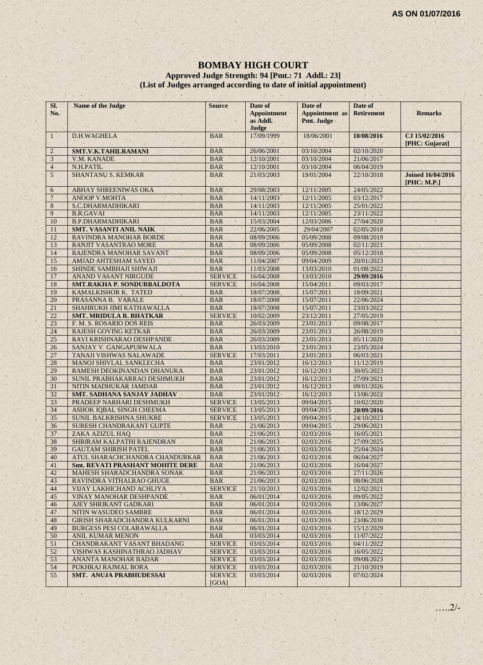#### **BOMBAY HIGH COURT**

#### **Approved Judge Strength: 94 [Pmt.: 71 Addl.: 23] (List of Judges arranged according to date of initial appointment)**

| SI.<br>No.     | Name of the Judge                       | <b>Source</b>           | Date of<br><b>Appointment</b><br>as Addl.<br>Judge | Date of<br><b>Appointment</b> as<br>Pmt. Judge | Date of<br><b>Retirement</b> | <b>Remarks</b>                          |
|----------------|-----------------------------------------|-------------------------|----------------------------------------------------|------------------------------------------------|------------------------------|-----------------------------------------|
| $\mathbf{1}$   | D.H.WAGHELA                             | <b>BAR</b>              | 17/09/1999                                         | 18/06/2001                                     | 10/08/2016                   | CJ 15/02/2016<br>[PHC: Gujarat]         |
| $\overline{c}$ | SMT.V.K.TAHILRAMANI                     | <b>BAR</b>              | 26/06/2001                                         | 03/10/2004                                     | 02/10/2020                   |                                         |
| $\mathfrak{Z}$ | V.M. KANADE                             | <b>BAR</b>              | 12/10/2001                                         | 03/10/2004                                     | 21/06/2017                   |                                         |
| $\overline{4}$ | N.H.PATIL                               | <b>BAR</b>              | 12/10/2001                                         | 03/10/2004                                     | 06/04/2019                   |                                         |
| 5              | SHANTANU S. KEMKAR                      | <b>BAR</b>              | 21/03/2003                                         | 19/01/2004                                     | 22/10/2018                   | <b>Joined 16/04/2016</b><br>[PHC: M.P.] |
| 6              | <b>ABHAY SHREENIWAS OKA</b>             | <b>BAR</b>              | 29/08/2003                                         | 12/11/2005                                     | 24/05/2022                   |                                         |
| $\overline{7}$ | <b>ANOOP V.MOHTA</b>                    | <b>BAR</b>              | 14/11/2003                                         | 12/11/2005                                     | 03/12/2017                   |                                         |
| 8              | S.C.DHARMADHIKARI                       | <b>BAR</b>              | 14/11/2003                                         | 12/11/2005                                     | 25/01/2022                   |                                         |
| 9              | <b>B.R.GAVAI</b>                        | <b>BAR</b>              | 14/11/2003                                         | 12/11/2005                                     | 23/11/2022                   |                                         |
| 10             | <b>B.P.DHARMADHIKARI</b>                | <b>BAR</b>              | 15/03/2004                                         | 12/03/2006                                     | 27/04/2020                   |                                         |
| 11             | <b>SMT. VASANTI ANIL NAIK</b>           | <b>BAR</b>              | 22/06/2005                                         | 29/04/2007                                     | 02/05/2018                   |                                         |
| 12             | RAVINDRA MANOHAR BORDE                  | <b>BAR</b>              | 08/09/2006                                         | 05/09/2008                                     | 09/08/2019                   |                                         |
| 13             | RANJIT VASANTRAO MORE                   | <b>BAR</b>              | 08/09/2006                                         | 05/09/2008                                     | 02/11/2021                   |                                         |
| 14             | RAJENDRA MANOHAR SAVANT                 | <b>BAR</b>              | 08/09/2006                                         | 05/09/2008                                     | 05/12/2018                   |                                         |
| 15             | AMJAD AHTESHAM SAYED                    | <b>BAR</b>              | 11/04/2007                                         | 09/04/2009                                     | 20/01/2023                   |                                         |
| 16             | SHINDE SAMBHAJI SHIWAJI                 | <b>BAR</b>              | 11/03/2008                                         | 13/03/2010                                     | 01/08/2022                   |                                         |
| 17             | <b>ANAND VASANT NIRGUDE</b>             | <b>SERVICE</b>          | 16/04/2008                                         | 13/03/2010                                     | 29/09/2016                   |                                         |
| 18             | <b>SMT.RAKHA P. SONDURBALDOTA</b>       | <b>SERVICE</b>          | 16/04/2008                                         | 15/04/2011                                     | 09/03/2017                   |                                         |
| 19             | KAMALKISHOR K. TATED                    | <b>BAR</b>              | 18/07/2008                                         | 15/07/2011                                     | 18/09/2021                   |                                         |
| 20             | PRASANNA B. VARALE                      | <b>BAR</b>              | 18/07/2008                                         | 15/07/2011                                     | 22/06/2024                   |                                         |
| 21             | SHAHRUKH JIMI KATHAWALLA                | <b>BAR</b>              | 18/07/2008                                         | 15/07/2011                                     | 23/03/2022                   |                                         |
| 22             | <b>SMT. MRIDULA R. BHATKAR</b>          | <b>SERVICE</b>          | 10/02/2009                                         | 23/12/2011                                     | 27/05/2019                   |                                         |
| 23             | F. M. S. ROSARIO DOS REIS               | <b>BAR</b>              | 26/03/2009                                         | 23/01/2013                                     | 09/08/2017                   |                                         |
| 24             | <b>RAJESH GOVING KETKAR</b>             | <b>BAR</b>              | 26/03/2009                                         | 23/01/2013                                     | 26/08/2019                   |                                         |
| 25             | RAVI KRISHNARAO DESHPANDE               | <b>BAR</b>              | 26/03/2009                                         | 23/01/2013                                     | 05/11/2020                   |                                         |
| 26             | SANJAY V. GANGAPURWALA                  | <b>BAR</b>              | 13/03/2010                                         | 23/01/2013                                     | 23/05/2024                   |                                         |
| 27             | TANAJI VISHWAS NALAWADE                 | <b>SERVICE</b>          | 17/03/2011                                         | 23/01/2013                                     | 06/03/2021                   |                                         |
| 28             | MANOJ SHIVLAL SANKLECHA                 | <b>BAR</b>              | 23/01/2012                                         | 16/12/2013                                     | 11/12/2019                   |                                         |
| 29             | RAMESH DEOKINANDAN DHANUKA              | <b>BAR</b>              | 23/01/2012                                         | 16/12/2013                                     | 30/05/2023                   |                                         |
| 30             | SUNIL PRABHAKARRAO DESHMUKH             | <b>BAR</b>              | 23/01/2012                                         | 16/12/2013                                     | 27/09/2021                   |                                         |
| 31             | NITIN MADHUKAR JAMDAR                   | <b>BAR</b>              | 23/01/2012                                         | 16/12/2013                                     | 09/01/2026                   |                                         |
| 32             | <b>SMT. SADHANA SANJAY JADHAV</b>       | <b>BAR</b>              | 23/01/2012                                         | 16/12/2013                                     | 13/06/2022                   |                                         |
| 33             | PRADEEP NARHARI DESHMUKH                | <b>SERVICE</b>          | 13/05/2013                                         | 09/04/2015                                     | 10/02/2020                   |                                         |
| 34             | ASHOK IQBAL SINGH CHEEMA                | <b>SERVICE</b>          | 13/05/2013                                         | 09/04/2015                                     | 20/09/2016                   |                                         |
| 35             | SUNIL BALKRISHNA SHUKRE                 | <b>SERVICE</b>          | 13/05/2013                                         | 09/04/2015                                     | 24/10/2023                   |                                         |
| 36             | <b>SURESH CHANDRAKANT GUPTE</b>         | <b>BAR</b>              | 21/06/2013                                         | 09/04/2015                                     | 29/06/2021                   |                                         |
| 37             | ZAKA AZIZUL HAQ                         | <b>BAR</b>              | 21/06/2013                                         | 02/03/2016                                     | 16/05/2021                   |                                         |
| 38             | SHRIRAM KALPATHI RAJENDRAN              | <b>BAR</b>              | 21/06/2013                                         | 02/03/2016                                     | 27/09/2025                   |                                         |
| 39             | <b>GAUTAM SHIRISH PATEL</b>             | <b>BAR</b>              | 21/06/2013                                         | 02/03/2016                                     | 25/04/2024                   |                                         |
| 40             | ATUL SHARACHCHANDRA CHANDURKAR          | <b>BAR</b>              | 21/06/2013                                         | 02/03/2016                                     | 06/04/2027                   |                                         |
| 41             | <b>Smt. REVATI PRASHANT MOHITE DERE</b> | <b>BAR</b>              | 21/06/2013                                         | 02/03/2016                                     | 16/04/2027                   |                                         |
| 42             | MAHESH SHARADCHANDRA SONAK              | <b>BAR</b>              | 21/06/2013                                         | 02/03/2016                                     | 27/11/2026                   |                                         |
| 43             | RAVINDRA VITHALRAO GHUGE                | <b>BAR</b>              | 21/06/2013                                         | 02/03/2016                                     | 08/06/2028                   |                                         |
| 44             | VIJAY LAKHICHAND ACHLIYA                | <b>SERVICE</b>          | 21/10/2013                                         | 02/03/2016                                     | 12/02/2021                   |                                         |
| 45             | VINAY MANOHAR DESHPANDE                 | <b>BAR</b>              | 06/01/2014                                         | 02/03/2016                                     | 09/05/2022                   |                                         |
| 46             | AJEY SHRIKANT GADKARI                   | <b>BAR</b>              | 06/01/2014                                         | 02/03/2016                                     | 13/06/2027                   |                                         |
| 47             | NITIN WASUDEO SAMBRE                    | <b>BAR</b>              | 06/01/2014                                         | 02/03/2016                                     | 18/12/2029                   |                                         |
| 48             | <b>GIRISH SHARADCHANDRA KULKARNI</b>    | <b>BAR</b>              | 06/01/2014                                         | 02/03/2016                                     | 23/06/2030                   |                                         |
| 49             | <b>BURGESS PESI COLABAWALLA</b>         | <b>BAR</b>              | 06/01/2014                                         | 02/03/2016                                     | 15/12/2029                   |                                         |
| 50             | <b>ANIL KUMAR MENON</b>                 | <b>BAR</b>              | 03/03/2014                                         | 02/03/2016                                     | 11/07/2022                   |                                         |
| 51             | <b>CHANDRAKANT VASANT BHADANG</b>       | <b>SERVICE</b>          | 03/03/2014                                         | 02/03/2016                                     | 04/11/2022                   |                                         |
| 52             | VISHWAS KASHINATHRAO JADHAV             | <b>SERVICE</b>          | 03/03/2014                                         | 02/03/2016                                     | 16/05/2022                   |                                         |
| 53             | ANANTA MANOHAR BADAR                    | <b>SERVICE</b>          | 03/03/2014                                         | 02/03/2016                                     | 09/08/2023                   |                                         |
| 54             | PUKHRAJ RAJMAL BORA                     | <b>SERVICE</b>          | 03/03/2014                                         | 02/03/2016                                     | 21/10/2019                   |                                         |
| 55             | SMT. ANUJA PRABHUDESSAI                 | <b>SERVICE</b><br>[GOA] | 03/03/2014                                         | 02/03/2016                                     | 07/02/2024                   |                                         |

…..2/-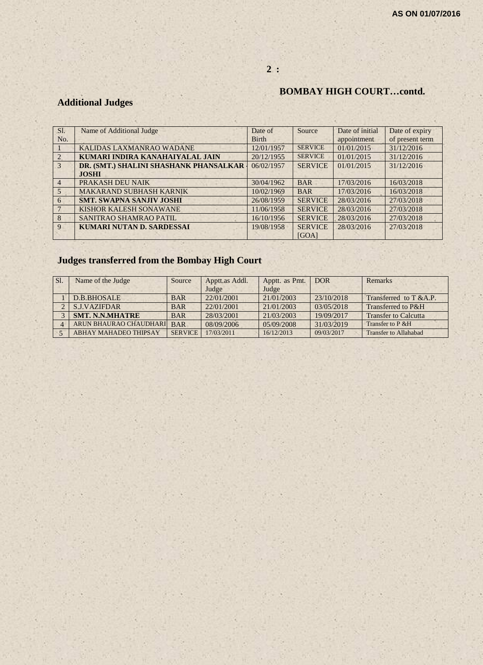# **2 :**

# **BOMBAY HIGH COURT…contd.**

# **Additional Judges**

| SI.             | Name of Additional Judge               | Date of      | Source         | Date of initial | Date of expiry  |
|-----------------|----------------------------------------|--------------|----------------|-----------------|-----------------|
| No.             |                                        | <b>Birth</b> |                | appointment     | of present term |
|                 | KALIDAS LAXMANRAO WADANE               | 12/01/1957   | <b>SERVICE</b> | 01/01/2015      | 31/12/2016      |
|                 | KUMARI INDIRA KANAHAIYALAL JAIN        | 20/12/1955   | <b>SERVICE</b> | 01/01/2015      | 31/12/2016      |
| 3               | DR. (SMT.) SHALINI SHASHANK PHANSALKAR | 06/02/1957   | <b>SERVICE</b> | 01/01/2015      | 31/12/2016      |
|                 | <b>JOSHI</b>                           |              |                |                 |                 |
| $\overline{4}$  | PRAKASH DEU NAIK                       | 30/04/1962   | <b>BAR</b>     | 17/03/2016      | 16/03/2018      |
| $5\overline{)}$ | <b>MAKARAND SUBHASH KARNIK</b>         | 10/02/1969   | <b>BAR</b>     | 17/03/2016      | 16/03/2018      |
| 6               | <b>SMT. SWAPNA SANJIV JOSHI</b>        | 26/08/1959   | <b>SERVICE</b> | 28/03/2016      | 27/03/2018      |
|                 | <b>KISHOR KALESH SONAWANE</b>          | 11/06/1958   | <b>SERVICE</b> | 28/03/2016      | 27/03/2018      |
| 8               | SANITRAO SHAMRAO PATIL                 | 16/10/1956   | <b>SERVICE</b> | 28/03/2016      | 27/03/2018      |
| 9               | <b>KUMARI NUTAN D. SARDESSAI</b>       | 19/08/1958   | <b>SERVICE</b> | 28/03/2016      | 27/03/2018      |
|                 |                                        |              | [GOA]          |                 |                 |

# **Judges transferred from the Bombay High Court**

| Sl. | Name of the Judge            | Source         | Apptt.as Addl. | Apptt. as Pmt. | <b>DOR</b> | Remarks                      |
|-----|------------------------------|----------------|----------------|----------------|------------|------------------------------|
|     |                              |                | Judge          | Judge          |            |                              |
|     | D.B.BHOSALE                  | <b>BAR</b>     | 22/01/2001     | 21/01/2003     | 23/10/2018 | Transferred to $T & A.P.$    |
|     | <b>S.J.VAZIFDAR</b>          | <b>BAR</b>     | 22/01/2001     | 21/01/2003     | 03/05/2018 | Transferred to P&H           |
|     | <b>SMT. N.N.MHATRE</b>       | <b>BAR</b>     | 28/03/2001     | 21/03/2003     | 19/09/2017 | <b>Transfer to Calcutta</b>  |
|     | ARUN BHAURAO CHAUDHARI       | <b>BAR</b>     | 08/09/2006     | 05/09/2008     | 31/03/2019 | Transfer to P & H            |
|     | <b>ABHAY MAHADEO THIPSAY</b> | <b>SERVICE</b> | 17/03/2011     | 16/12/2013     | 09/03/2017 | <b>Transfer to Allahabad</b> |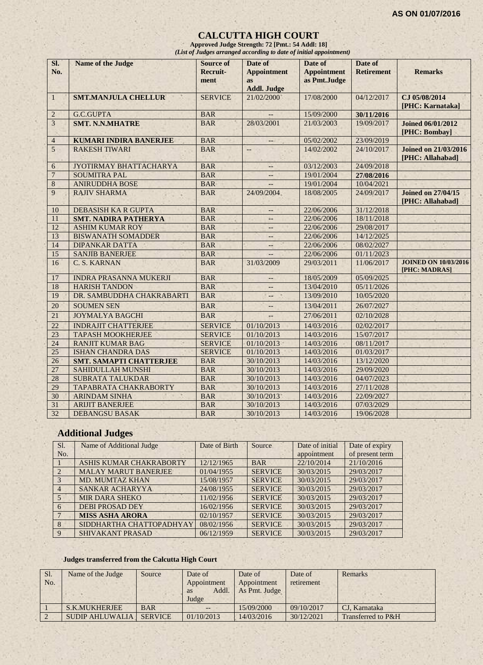#### **CALCUTTA HIGH COURT**

**Approved Judge Strength: 72 [Pmt.: 54 Addl: 18]** *(List of Judges arranged according to date of initial appointment)*

| SI.<br>No.      | <b>Name of the Judge</b>       | <b>Source of</b><br>Recruit-<br>ment | Date of<br><b>Appointment</b><br><b>as</b><br><b>Addl. Judge</b> | Date of<br><b>Appointment</b><br>as Pmt.Judge | Date of<br><b>Retirement</b> | <b>Remarks</b>                                  |
|-----------------|--------------------------------|--------------------------------------|------------------------------------------------------------------|-----------------------------------------------|------------------------------|-------------------------------------------------|
| $\mathbf{1}$    | <b>SMT.MANJULA CHELLUR</b>     | <b>SERVICE</b>                       | 21/02/2000                                                       | 17/08/2000                                    | 04/12/2017                   | CJ 05/08/2014<br>[PHC: Karnataka]               |
| $\overline{2}$  | G.C.GUPTA                      | <b>BAR</b>                           |                                                                  | 15/09/2000                                    | 30/11/2016                   |                                                 |
| $\overline{3}$  | <b>SMT. N.N.MHATRE</b>         | <b>BAR</b>                           | 28/03/2001                                                       | 21/03/2003                                    | 19/09/2017                   | <b>Joined 06/01/2012</b><br>[PHC: Bombay]       |
| $\overline{4}$  | <b>KUMARI INDIRA BANERJEE</b>  | <b>BAR</b>                           | $--$                                                             | 05/02/2002                                    | 23/09/2019                   |                                                 |
| 5               | <b>RAKESH TIWARI</b>           | <b>BAR</b>                           | $-$                                                              | 14/02/2002                                    | 24/10/2017                   | <b>Joined on 21/03/2016</b><br>[PHC: Allahabad] |
| 6               | JYOTIRMAY BHATTACHARYA         | <b>BAR</b>                           | $\overline{a}$                                                   | 03/12/2003                                    | 24/09/2018                   |                                                 |
| $\overline{7}$  | <b>SOUMITRA PAL</b>            | <b>BAR</b>                           | $-$                                                              | 19/01/2004                                    | 27/08/2016                   |                                                 |
| 8               | <b>ANIRUDDHA BOSE</b>          | <b>BAR</b>                           |                                                                  | 19/01/2004                                    | 10/04/2021                   |                                                 |
| 9               | <b>RAJIV SHARMA</b>            | <b>BAR</b>                           | 24/09/2004                                                       | 18/08/2005                                    | 24/09/2017                   | <b>Joined on 27/04/15</b><br>[PHC: Allahabad]   |
| 10              | <b>DEBASISH KA R GUPTA</b>     | <b>BAR</b>                           | $\overline{\phantom{a}}$                                         | 22/06/2006                                    | 31/12/2018                   |                                                 |
| 11              | <b>SMT. NADIRA PATHERYA</b>    | <b>BAR</b>                           | $\equiv$ $\equiv$                                                | 22/06/2006                                    | 18/11/2018                   |                                                 |
| 12              | <b>ASHIM KUMAR ROY</b>         | <b>BAR</b>                           | $\qquad \qquad -$                                                | 22/06/2006                                    | 29/08/2017                   |                                                 |
| 13              | <b>BISWANATH SOMADDER</b>      | <b>BAR</b>                           | $-$                                                              | 22/06/2006                                    | 14/12/2025                   |                                                 |
| 14              | <b>DIPANKAR DATTA</b>          | <b>BAR</b>                           | $-$                                                              | 22/06/2006                                    | 08/02/2027                   |                                                 |
| 15              | <b>SANJIB BANERJEE</b>         | <b>BAR</b>                           |                                                                  | 22/06/2006                                    | 01/11/2023                   |                                                 |
| 16              | C. S. KARNAN                   | <b>BAR</b>                           | 31/03/2009                                                       | 29/03/2011                                    | 11/06/2017                   | <b>JOINED ON 10/03/2016</b><br>[PHC: MADRAS]    |
| 17              | <b>INDRA PRASANNA MUKERJI</b>  | <b>BAR</b>                           |                                                                  | 18/05/2009                                    | 05/09/2025                   |                                                 |
| 18              | <b>HARISH TANDON</b>           | <b>BAR</b>                           | --                                                               | 13/04/2010                                    | 05/11/2026                   |                                                 |
| 19              | DR. SAMBUDDHA CHAKRABARTI      | <b>BAR</b>                           | $ +$                                                             | 13/09/2010                                    | 10/05/2020                   |                                                 |
| 20              | <b>SOUMEN SEN</b>              | <b>BAR</b>                           | $-$                                                              | 13/04/2011                                    | 26/07/2027                   |                                                 |
| 21              | <b>JOYMALYA BAGCHI</b>         | <b>BAR</b>                           |                                                                  | 27/06/2011                                    | 02/10/2028                   |                                                 |
| 22              | <b>INDRAJIT CHATTERJEE</b>     | <b>SERVICE</b>                       | 01/10/2013                                                       | 14/03/2016                                    | 02/02/2017                   |                                                 |
| 23              | <b>TAPASH MOOKHERJEE</b>       | <b>SERVICE</b>                       | 01/10/2013                                                       | 14/03/2016                                    | 15/07/2017                   |                                                 |
| 24              | <b>RANJIT KUMAR BAG</b>        | <b>SERVICE</b>                       | 01/10/2013                                                       | 14/03/2016                                    | 08/11/2017                   |                                                 |
| $\overline{25}$ | <b>ISHAN CHANDRA DAS</b>       | <b>SERVICE</b>                       | 01/10/2013                                                       | 14/03/2016                                    | 01/03/2017                   |                                                 |
| 26              | <b>SMT. SAMAPTI CHATTERJEE</b> | <b>BAR</b>                           | 30/10/2013                                                       | 14/03/2016                                    | 13/12/2020                   |                                                 |
| 27              | <b>SAHIDULLAH MUNSHI</b>       | <b>BAR</b>                           | 30/10/2013                                                       | 14/03/2016                                    | 29/09/2020                   |                                                 |
| 28              | <b>SUBRATA TALUKDAR</b>        | <b>BAR</b>                           | 30/10/2013                                                       | 14/03/2016                                    | 04/07/2023                   |                                                 |
| 29              | TAPABRATA CHAKRABORTY          | <b>BAR</b>                           | 30/10/2013                                                       | 14/03/2016                                    | 27/11/2028                   |                                                 |
| 30              | <b>ARINDAM SINHA</b>           | <b>BAR</b>                           | 30/10/2013                                                       | 14/03/2016                                    | 22/09/2027                   |                                                 |
| 31              | <b>ARIJIT BANERJEE</b>         | <b>BAR</b>                           | 30/10/2013                                                       | 14/03/2016                                    | 07/03/2029                   |                                                 |
| 32              | <b>DEBANGSU BASAK</b>          | <b>BAR</b>                           | 30/10/2013                                                       | 14/03/2016                                    | 19/06/2028                   |                                                 |

# **Additional Judges**

| Sl.            | Name of Additional Judge       | Date of Birth | Source         | Date of initial | Date of expiry  |
|----------------|--------------------------------|---------------|----------------|-----------------|-----------------|
| No.            |                                |               |                | appointment     | of present term |
|                | <b>ASHIS KUMAR CHAKRABORTY</b> | 12/12/1965    | <b>BAR</b>     | 22/10/2014      | 21/10/2016      |
| $\mathcal{D}$  | <b>MALAY MARUT BANERJEE</b>    | 01/04/1955    | <b>SERVICE</b> | 30/03/2015      | 29/03/2017      |
| $\mathcal{E}$  | <b>MD. MUMTAZ KHAN</b>         | 15/08/1957    | <b>SERVICE</b> | 30/03/2015      | 29/03/2017      |
| $\overline{4}$ | SANKAR ACHARYYA                | 24/08/1955    | <b>SERVICE</b> | 30/03/2015      | 29/03/2017      |
| $\overline{5}$ | <b>MIR DARA SHEKO</b>          | 11/02/1956    | <b>SERVICE</b> | 30/03/2015      | 29/03/2017      |
| 6              | <b>DEBI PROSAD DEY</b>         | 16/02/1956    | <b>SERVICE</b> | 30/03/2015      | 29/03/2017      |
|                | <b>MISS ASHA ARORA</b>         | 02/10/1957    | <b>SERVICE</b> | 30/03/2015      | 29/03/2017      |
| 8              | SIDDHARTHA CHATTOPADHYAY       | 08/02/1956    | <b>SERVICE</b> | 30/03/2015      | 29/03/2017      |
| $\mathbf{Q}$   | <b>SHIVAKANT PRASAD</b>        | 06/12/1959    | <b>SERVICE</b> | 30/03/2015      | 29/03/2017      |

#### **Judges transferred from the Calcutta High Court**

| Sl. | Name of the Judge | <b>Source</b> | Date of           | Date of       | Date of    | Remarks       |
|-----|-------------------|---------------|-------------------|---------------|------------|---------------|
| No. |                   |               | Appointment       | Appointment   | retirement |               |
|     |                   |               | Addl<br><b>as</b> | As Pmt. Judge |            |               |
|     |                   |               | Judge             |               |            |               |
|     |                   |               |                   |               |            |               |
|     | S.K.MUKHERJEE     | <b>BAR</b>    | $--$              | 15/09/2000    | 09/10/2017 | CJ, Karnataka |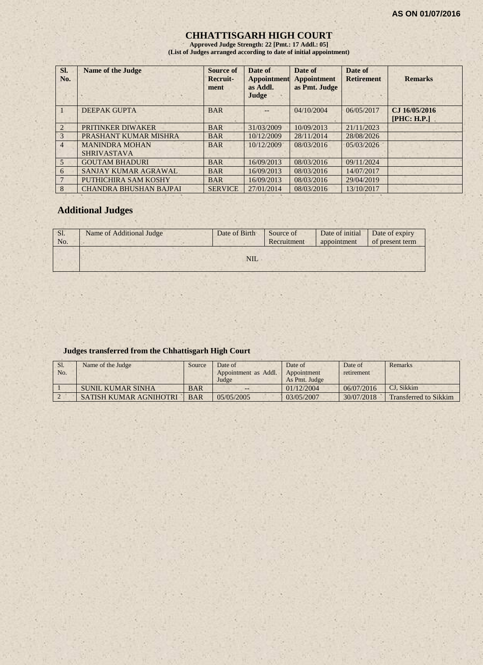#### **CHHATTISGARH HIGH COURT**

**Approved Judge Strength: 22 [Pmt.: 17 Addl.: 05] (List of Judges arranged according to date of initial appointment)**

| SI.<br>No.     | <b>Name of the Judge</b>                    | Source of<br>Recruit-<br>ment | Date of<br><b>Appointment</b><br>as Addl.<br>Judge | Date of<br><b>Appointment</b><br>as Pmt. Judge | Date of<br><b>Retirement</b> | <b>Remarks</b>               |
|----------------|---------------------------------------------|-------------------------------|----------------------------------------------------|------------------------------------------------|------------------------------|------------------------------|
|                | <b>DEEPAK GUPTA</b>                         | <b>BAR</b>                    |                                                    | 04/10/2004                                     | 06/05/2017                   | CJ 16/05/2016<br>[PHC: H.P.] |
| $\mathfrak{D}$ | PRITINKER DIWAKER                           | <b>BAR</b>                    | 31/03/2009                                         | 10/09/2013                                     | 21/11/2023                   |                              |
| 3              | PRASHANT KUMAR MISHRA                       | <b>BAR</b>                    | 10/12/2009                                         | 28/11/2014                                     | 28/08/2026                   |                              |
| $\overline{4}$ | <b>MANINDRA MOHAN</b><br><b>SHRIVASTAVA</b> | <b>BAR</b>                    | 10/12/2009                                         | 08/03/2016                                     | 05/03/2026                   |                              |
| $\overline{5}$ | <b>GOUTAM BHADURI</b>                       | <b>BAR</b>                    | 16/09/2013                                         | 08/03/2016                                     | 09/11/2024                   |                              |
| 6              | SANJAY KUMAR AGRAWAL                        | <b>BAR</b>                    | 16/09/2013                                         | 08/03/2016                                     | 14/07/2017                   |                              |
|                | PUTHICHIRA SAM KOSHY                        | <b>BAR</b>                    | 16/09/2013                                         | 08/03/2016                                     | 29/04/2019                   |                              |
| 8              | <b>CHANDRA BHUSHAN BAJPAI</b>               | <b>SERVICE</b>                | 27/01/2014                                         | 08/03/2016                                     | 13/10/2017                   |                              |

# **Additional Judges**

| Sl.<br>No. | Name of Additional Judge | Date of Birth | Source of<br>Recruitment | Date of initial<br>appointment | Date of expiry<br>of present term |
|------------|--------------------------|---------------|--------------------------|--------------------------------|-----------------------------------|
|            |                          | <b>NIL</b>    |                          |                                |                                   |

#### **Judges transferred from the Chhattisgarh High Court**

| Sl.<br>No. | Name of the Judge      | Source     | Date of<br>Appointment as Addl.<br>Judge | Date of<br>Appointment<br>As Pmt. Judge | Date of<br>retirement | Remarks               |
|------------|------------------------|------------|------------------------------------------|-----------------------------------------|-----------------------|-----------------------|
|            | SUNIL KUMAR SINHA      | <b>BAR</b> | $- -$                                    | 01/12/2004                              | 06/07/2016            | CJ. Sikkim            |
|            | SATISH KUMAR AGNIHOTRI | <b>BAR</b> | 05/05/2005                               | 03/05/2007                              | 30/07/2018            | Transferred to Sikkim |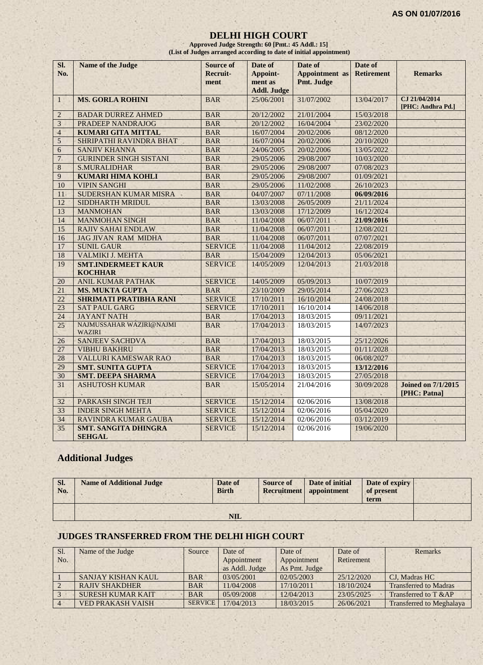#### **DELHI HIGH COURT**

**Approved Judge Strength: 60 [Pmt.: 45 Addl.: 15] (List of Judges arranged according to date of initial appointment)**

| Si.<br>No.      | <b>Name of the Judge</b>                     | <b>Source of</b><br>Recruit-<br>ment | Date of<br>Appoint-<br>ment as<br><b>Addl. Judge</b> | Date of<br><b>Appointment</b> as<br>Pmt. Judge | Date of<br><b>Retirement</b> | <b>Remarks</b>                            |
|-----------------|----------------------------------------------|--------------------------------------|------------------------------------------------------|------------------------------------------------|------------------------------|-------------------------------------------|
| $\mathbf{1}$    | <b>MS. GORLA ROHINI</b>                      | <b>BAR</b>                           | 25/06/2001                                           | 31/07/2002                                     | 13/04/2017                   | CJ 21/04/2014<br>[PHC: Andhra Pd.]        |
| $\overline{2}$  | <b>BADAR DURREZ AHMED</b>                    | <b>BAR</b>                           | 20/12/2002                                           | 21/01/2004                                     | 15/03/2018                   |                                           |
| 3               | PRADEEP NANDRAJOG                            | <b>BAR</b>                           | 20/12/2002                                           | 16/04/2004                                     | 23/02/2020                   |                                           |
| $\overline{4}$  | <b>KUMARI GITA MITTAL</b>                    | <b>BAR</b>                           | 16/07/2004                                           | 20/02/2006                                     | 08/12/2020                   |                                           |
| 5               | SHRIPATHI RAVINDRA BHAT                      | <b>BAR</b>                           | 16/07/2004                                           | 20/02/2006                                     | 20/10/2020                   |                                           |
| 6               | <b>SANJIV KHANNA</b>                         | <b>BAR</b>                           | 24/06/2005                                           | 20/02/2006                                     | 13/05/2022                   |                                           |
| $\overline{7}$  | <b>GURINDER SINGH SISTANI</b>                | <b>BAR</b>                           | 29/05/2006                                           | 29/08/2007                                     | 10/03/2020                   |                                           |
| 8               | <b>S.MURALIDHAR</b>                          | <b>BAR</b>                           | 29/05/2006                                           | 29/08/2007                                     | 07/08/2023                   |                                           |
| 9               | <b>KUMARI HIMA KOHLI</b>                     | <b>BAR</b>                           | 29/05/2006                                           | 29/08/2007                                     | 01/09/2021                   |                                           |
| 10              | <b>VIPIN SANGHI</b>                          | <b>BAR</b>                           | 29/05/2006                                           | 11/02/2008                                     | 26/10/2023                   |                                           |
| 11              | SUDERSHAN KUMAR MISRA                        | <b>BAR</b>                           | 04/07/2007                                           | 07/11/2008                                     | 06/09/2016                   |                                           |
| 12              | SIDDHARTH MRIDUL                             | <b>BAR</b>                           | 13/03/2008                                           | 26/05/2009                                     | 21/11/2024                   |                                           |
| 13              | <b>MANMOHAN</b>                              | <b>BAR</b>                           | 13/03/2008                                           | 17/12/2009                                     | 16/12/2024                   |                                           |
| 14              | <b>MANMOHAN SINGH</b>                        | <b>BAR</b>                           | 11/04/2008                                           | 06/07/2011                                     | 21/09/2016                   |                                           |
| 15              | <b>RAJIV SAHAI ENDLAW</b>                    | <b>BAR</b>                           | 11/04/2008                                           | 06/07/2011                                     | 12/08/2021                   |                                           |
| 16              | <b>JAG JIVAN RAM MIDHA</b>                   | <b>BAR</b>                           | 11/04/2008                                           | 06/07/2011                                     | 07/07/2021                   |                                           |
| 17              | <b>SUNIL GAUR</b>                            | <b>SERVICE</b>                       | 11/04/2008                                           | 11/04/2012                                     | 22/08/2019                   |                                           |
| 18              | VALMIKI J. MEHTA                             | <b>BAR</b>                           | 15/04/2009                                           | 12/04/2013                                     | 05/06/2021                   |                                           |
| 19              | <b>SMT.INDERMEET KAUR</b><br><b>KOCHHAR</b>  | <b>SERVICE</b>                       | 14/05/2009                                           | 12/04/2013                                     | 21/03/2018                   |                                           |
| 20              | <b>ANIL KUMAR PATHAK</b>                     | <b>SERVICE</b>                       | 14/05/2009                                           | 05/09/2013                                     | 10/07/2019                   |                                           |
| 21              | <b>MS. MUKTA GUPTA</b>                       | <b>BAR</b>                           | 23/10/2009                                           | 29/05/2014                                     | 27/06/2023                   |                                           |
| $\overline{22}$ | <b>SHRIMATI PRATIBHA RANI</b>                | <b>SERVICE</b>                       | 17/10/2011                                           | 16/10/2014                                     | 24/08/2018                   |                                           |
| 23              | <b>SAT PAUL GARG</b>                         | <b>SERVICE</b>                       | 17/10/2011                                           | 16/10/2014                                     | 14/06/2018                   |                                           |
| 24              | <b>JAYANT NATH</b>                           | <b>BAR</b>                           | 17/04/2013                                           | 18/03/2015                                     | 09/11/2021                   |                                           |
| 25              | NAJMUSSAHAR WAZIRI@NAJMI<br><b>WAZIRI</b>    | <b>BAR</b>                           | 17/04/2013                                           | 18/03/2015                                     | 14/07/2023                   |                                           |
| 26              | <b>SANJEEV SACHDVA</b>                       | <b>BAR</b>                           | 17/04/2013                                           | 18/03/2015                                     | 25/12/2026                   |                                           |
| 27              | <b>VIBHU BAKHRU</b>                          | <b>BAR</b>                           | 17/04/2013                                           | 18/03/2015                                     | 01/11/2028                   |                                           |
| 28              | <b>VALLURI KAMESWAR RAO</b>                  | <b>BAR</b>                           | 17/04/2013                                           | 18/03/2015                                     | 06/08/2027                   |                                           |
| 29              | <b>SMT. SUNITA GUPTA</b>                     | <b>SERVICE</b>                       | 17/04/2013                                           | 18/03/2015                                     | 13/12/2016                   |                                           |
| 30              | <b>SMT. DEEPA SHARMA</b>                     | <b>SERVICE</b>                       | 17/04/2013                                           | 18/03/2015                                     | 27/05/2018                   |                                           |
| 31              | <b>ASHUTOSH KUMAR</b>                        | <b>BAR</b>                           | 15/05/2014                                           | 21/04/2016                                     | 30/09/2028                   | <b>Joined on 7/1/2015</b><br>[PHC: Patna] |
| 32              | PARKASH SINGH TEJI                           | <b>SERVICE</b>                       | 15/12/2014                                           | 02/06/2016                                     | 13/08/2018                   |                                           |
| 33              | <b>INDER SINGH MEHTA</b>                     | <b>SERVICE</b>                       | 15/12/2014                                           | 02/06/2016                                     | 05/04/2020                   |                                           |
| 34              | RAVINDRA KUMAR GAUBA                         | <b>SERVICE</b>                       | 15/12/2014                                           | 02/06/2016                                     | 03/12/2019                   |                                           |
| 35              | <b>SMT. SANGITA DHINGRA</b><br><b>SEHGAL</b> | <b>SERVICE</b>                       | 15/12/2014                                           | 02/06/2016                                     | 19/06/2020                   |                                           |

# **Additional Judges**

| SI.<br>No. | <b>Name of Additional Judge</b> | Date of<br><b>Birth</b> | <b>Source of</b> | Date of initial<br>Recruitment appointment | Date of expiry<br>of present<br>term |  |
|------------|---------------------------------|-------------------------|------------------|--------------------------------------------|--------------------------------------|--|
|            |                                 | <b>NIL</b>              |                  |                                            |                                      |  |

#### **JUDGES TRANSFERRED FROM THE DELHI HIGH COURT**

| Sl.            | Name of the Judge        | Source         | Date of        | Date of                   | Date of    | <b>Remarks</b>                  |
|----------------|--------------------------|----------------|----------------|---------------------------|------------|---------------------------------|
| N <sub>0</sub> |                          |                | Appointment    | Retirement<br>Appointment |            |                                 |
|                |                          |                | as Addl. Judge | As Pmt. Judge             |            |                                 |
|                | SANJAY KISHAN KAUL       | <b>BAR</b>     | 03/05/2001     | 02/05/2003                | 25/12/2020 | CJ, Madras HC                   |
|                | <b>RAJIV SHAKDHER</b>    | <b>BAR</b>     | 11/04/2008     | 17/10/2011                | 18/10/2024 | <b>Transferred to Madras</b>    |
|                | <b>SURESH KUMAR KAIT</b> | <b>BAR</b>     | 05/09/2008     | 12/04/2013                | 23/05/2025 | Transferred to T &AP            |
|                | <b>VED PRAKASH VAISH</b> | <b>SERVICE</b> | 17/04/2013     | 18/03/2015                | 26/06/2021 | <b>Transferred to Meghalaya</b> |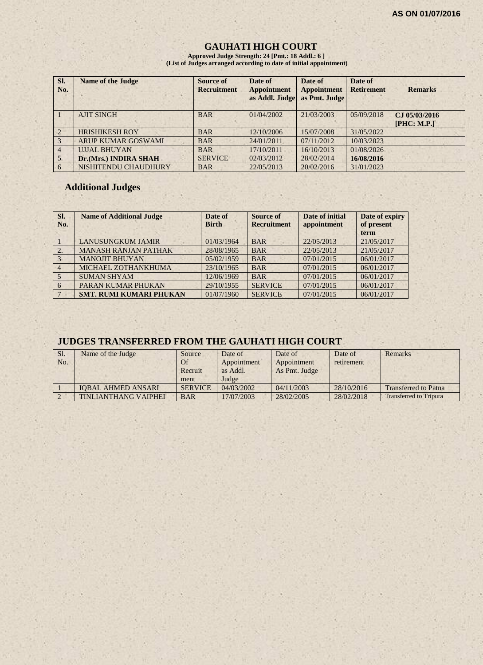$1.7.8$ 

# **GAUHATI HIGH COURT**

**Approved Judge Strength: 24 [Pmt.: 18 Addl.: 6 ] (List of Judges arranged according to date of initial appointment)**

| SI.<br>No.    | <b>Name of the Judge</b>  | Source of<br><b>Recruitment</b> | Date of<br><b>Appointment</b><br>as Addl. Judge | Date of<br><b>Appointment</b><br>as Pmt. Judge | Date of<br><b>Retirement</b> | <b>Remarks</b> |
|---------------|---------------------------|---------------------------------|-------------------------------------------------|------------------------------------------------|------------------------------|----------------|
|               | <b>AJIT SINGH</b>         | <b>BAR</b>                      | 01/04/2002                                      | 21/03/2003                                     | 05/09/2018                   | CJ 05/03/2016  |
|               |                           |                                 |                                                 |                                                |                              | [PHC: M.P.]    |
|               | <b>HRISHIKESH ROY</b>     | <b>BAR</b>                      | 12/10/2006                                      | 15/07/2008                                     | 31/05/2022                   |                |
| $\mathcal{R}$ | <b>ARUP KUMAR GOSWAMI</b> | <b>BAR</b>                      | 24/01/2011                                      | 07/11/2012                                     | 10/03/2023                   |                |
|               | <b>UJJAL BHUYAN</b>       | <b>BAR</b>                      | 17/10/2011                                      | 16/10/2013                                     | 01/08/2026                   |                |
|               | Dr.(Mrs.) INDIRA SHAH     | <b>SERVICE</b>                  | 02/03/2012                                      | 28/02/2014                                     | 16/08/2016                   |                |
| -6            | NISHITENDU CHAUDHURY      | <b>BAR</b>                      | 22/05/2013                                      | 20/02/2016                                     | 31/01/2023                   |                |

×

# **Additional Judges**

- 22

| Sl.<br>No.      | <b>Name of Additional Judge</b> | Date of<br><b>Birth</b> | Source of<br><b>Recruitment</b> | Date of initial<br>appointment | Date of expiry<br>of present<br>term |
|-----------------|---------------------------------|-------------------------|---------------------------------|--------------------------------|--------------------------------------|
|                 | <b>LANUSUNGKUM JAMIR</b>        | 01/03/1964              | <b>BAR</b>                      | 22/05/2013                     | 21/05/2017                           |
| 2.              | <b>MANASH RANJAN PATHAK</b>     | 28/08/1965              | <b>BAR</b>                      | 22/05/2013                     | 21/05/2017                           |
| 3               | <b>MANOJIT BHUYAN</b>           | 05/02/1959              | <b>BAR</b>                      | 07/01/2015                     | 06/01/2017                           |
| $\overline{4}$  | MICHAEL ZOTHANKHUMA             | 23/10/1965              | <b>BAR</b>                      | 07/01/2015                     | 06/01/2017                           |
|                 | <b>SUMAN SHYAM</b>              | 12/06/1969              | <b>BAR</b>                      | 07/01/2015                     | 06/01/2017                           |
| -6              | PARAN KUMAR PHUKAN              | 29/10/1955              | <b>SERVICE</b>                  | 07/01/2015                     | 06/01/2017                           |
| $7\phantom{.0}$ | <b>SMT. RUMI KUMARI PHUKAN</b>  | 01/07/1960              | <b>SERVICE</b>                  | 07/01/2015                     | 06/01/2017                           |

# **JUDGES TRANSFERRED FROM THE GAUHATI HIGH COURT**

| Sl.<br>No. | Name of the Judge           | Source<br>Of    | Date of<br>Appointment | Date of<br>Appointment | Date of<br>retirement | Remarks                       |
|------------|-----------------------------|-----------------|------------------------|------------------------|-----------------------|-------------------------------|
|            |                             | Recruit<br>ment | as Addl.<br>Judge      | As Pmt. Judge          |                       |                               |
|            | <b>IOBAL AHMED ANSARI</b>   | <b>SERVICE</b>  | 04/03/2002             | 04/11/2003             | 28/10/2016            | <b>Transferred to Patna</b>   |
|            | <b>TINLIANTHANG VAIPHEI</b> | <b>BAR</b>      | 17/07/2003             | 28/02/2005             | 28/02/2018            | <b>Transferred to Tripura</b> |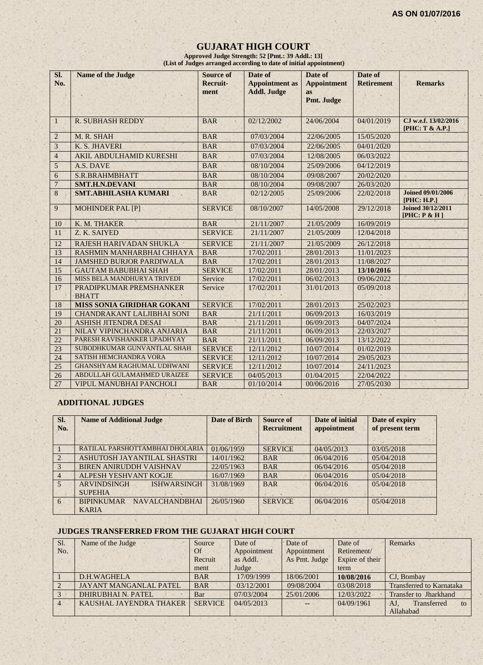# **GUJARAT HIGH COURT**

**Approved Judge Strength: 52 [Pmt.: 39 Addl.: 13] (List of Judges arranged according to date of initial appointment)**

| SI.<br>No.      | <b>Name of the Judge</b>                | <b>Source of</b><br><b>Recruit-</b> | Date of<br><b>Appointment as</b> | Date of<br><b>Appointment</b> | Date of<br><b>Retirement</b> | <b>Remarks</b>                              |
|-----------------|-----------------------------------------|-------------------------------------|----------------------------------|-------------------------------|------------------------------|---------------------------------------------|
|                 |                                         | ment                                | <b>Addl. Judge</b>               | <b>as</b><br>Pmt. Judge       |                              |                                             |
| $\mathbf{1}$    | <b>R. SUBHASH REDDY</b>                 | <b>BAR</b>                          | 02/12/2002                       | 24/06/2004                    | 04/01/2019                   | CJ w.e.f. 13/02/2016<br>[PHC: T & A.P.]     |
| $\sqrt{2}$      | M. R. SHAH                              | <b>BAR</b>                          | 07/03/2004                       | 22/06/2005                    | 15/05/2020                   |                                             |
| 3               | K. S. JHAVERI                           | <b>BAR</b>                          | 07/03/2004                       | 22/06/2005                    | 04/01/2020                   |                                             |
| $\overline{4}$  | <b>AKIL ABDULHAMID KURESHI</b>          | <b>BAR</b>                          | 07/03/2004                       | 12/08/2005                    | 06/03/2022                   |                                             |
| 5               | A.S. DAVE                               | <b>BAR</b>                          | 08/10/2004                       | 25/09/2006                    | 04/12/2019                   |                                             |
| $\mathbf{6}$    | S.R.BRAHMBHATT                          | <b>BAR</b>                          | 08/10/2004                       | 09/08/2007                    | 20/02/2020                   |                                             |
| $\overline{7}$  | <b>SMT.H.N.DEVANI</b>                   | <b>BAR</b>                          | 08/10/2004                       | 09/08/2007                    | 26/03/2020                   |                                             |
| 8               | <b>SMT.ABHILASHA KUMARI</b>             | <b>BAR</b>                          | 02/12/2005                       | 25/09/2006                    | 22/02/2018                   | <b>Joined 09/01/2006</b><br>[PHC: H.P.]     |
| 9               | <b>MOHINDER PAL [P]</b>                 | <b>SERVICE</b>                      | 08/10/2007                       | 14/05/2008                    | 29/12/2018                   | <b>Joined 30/12/2011</b><br>[PHC: $P & H$ ] |
| 10              | K. M. THAKER                            | <b>BAR</b>                          | 21/11/2007                       | 21/05/2009                    | 16/09/2019                   |                                             |
| 11              | Z. K. SAIYED                            | <b>SERVICE</b>                      | 21/11/2007                       | 21/05/2009                    | 12/04/2018                   |                                             |
| 12              | RAJESH HARIVADAN SHUKLA                 | <b>SERVICE</b>                      | 21/11/2007                       | 21/05/2009                    | 26/12/2018                   |                                             |
| 13              | RASHMIN MANHARBHAI CHHAYA               | <b>BAR</b>                          | 17/02/2011                       | 28/01/2013                    | 11/01/2023                   |                                             |
| $14 -$          | <b>JAMSHED BURJOR PARDIWALA</b>         | <b>BAR</b>                          | 17/02/2011                       | 28/01/2013                    | 11/08/2027                   |                                             |
| 15              | <b>GAUTAM BABUBHAI SHAH</b>             | <b>SERVICE</b>                      | 17/02/2011                       | 28/01/2013                    | 13/10/2016                   |                                             |
| 16              | MISS BELA MANDHURYA TRIVEDI             | Service                             | 17/02/2011                       | 06/02/2013                    | 09/06/2022                   |                                             |
| 17              | PRADIPKUMAR PREMSHANKER<br><b>BHATT</b> | Service                             | 17/02/2011                       | 31/01/2013                    | 05/09/2018                   |                                             |
| 18              | MISS SONIA GIRIDHAR GOKANI              | <b>SERVICE</b>                      | 17/02/2011                       | 28/01/2013                    | 25/02/2023                   |                                             |
| 19              | <b>CHANDRAKANT LALJIBHAI SONI</b>       | <b>BAR</b>                          | 21/11/2011                       | 06/09/2013                    | 16/03/2019                   |                                             |
| 20              | <b>ASHISH JITENDRA DESAI</b>            | <b>BAR</b>                          | 21/11/2011                       | 06/09/2013                    | 04/07/2024                   |                                             |
| 21              | NILAY VIPINCHANDRA ANJARIA              | <b>BAR</b>                          | 21/11/2011                       | 06/09/2013                    | 22/03/2027                   |                                             |
| $\overline{22}$ | PARESH RAVISHANKER UPADHYAY             | <b>BAR</b>                          | 21/11/2011                       | 06/09/2013                    | 13/12/2022                   |                                             |
| 23              | SUBODHKUMAR GUNVANTLAL SHAH             | <b>SERVICE</b>                      | 12/11/2012                       | 10/07/2014                    | 01/02/2019                   |                                             |
| 24              | <b>SATISH HEMCHANDRA VORA</b>           | <b>SERVICE</b>                      | 12/11/2012                       | 10/07/2014                    | 29/05/2023                   |                                             |
| 25              | <b>GHANSHYAM RAGHUMAL UDHWANI</b>       | <b>SERVICE</b>                      | 12/11/2012                       | 10/07/2014                    | 24/11/2023                   |                                             |
| 26              | ABDULLAH GULAMAHMED URAIZEE             | <b>SERVICE</b>                      | 04/05/2013                       | 01/04/2015                    | 22/04/2022                   |                                             |
| 27              | VIPUL MANUBHAI PANCHOLI                 | <b>BAR</b>                          | 01/10/2014                       | 00/06/2016                    | 27/05/2030                   |                                             |

#### **ADDITIONAL JUDGES**

| SI.<br>No.     | <b>Name of Additional Judge</b>          | Date of Birth | Source of<br><b>Recruitment</b> | Date of initial<br>appointment | Date of expiry<br>of present term |
|----------------|------------------------------------------|---------------|---------------------------------|--------------------------------|-----------------------------------|
|                | RATILAL PARSHOTTAMBHAI DHOLARIA          | 01/06/1959    | <b>SERVICE</b>                  | 04/05/2013                     | 03/05/2018                        |
| $\overline{2}$ | ASHUTOSH JAYANTILAL SHASTRI              | 14/01/1962    | <b>BAR</b>                      | 06/04/2016                     | 05/04/2018                        |
| $\overline{3}$ | <b>BIREN ANIRUDDH VAISHNAV</b>           | 22/05/1963    | <b>BAR</b>                      | 06/04/2016                     | 0.5/0.4/2018                      |
| $\vert$ 4      | ALPESH YESHVANT KOGJE                    | 16/07/1969    | <b>BAR</b>                      | 06/04/2016                     | 05/04/2018                        |
| 5              | <b>ARVINDSINGH</b><br><b>ISHWARSINGH</b> | 31/08/1969    | <b>BAR</b>                      | 06/04/2016                     | 05/04/2018                        |
|                | <b>SUPEHIA</b>                           |               |                                 |                                |                                   |
| 6              | BIPINKUMAR NAVALCHANDBHAI                | 26/05/1960    | <b>SERVICE</b>                  | 06/04/2016                     | 05/04/2018                        |
|                | <b>KARIA</b>                             |               |                                 |                                |                                   |

#### **JUDGES TRANSFERRED FROM THE GUJARAT HIGH COURT**

| Sl.            | Name of the Judge             | Source         | Date of     | Date of       | Date of         | <b>Remarks</b>                  |
|----------------|-------------------------------|----------------|-------------|---------------|-----------------|---------------------------------|
| No.            |                               | Of             | Appointment | Appointment   | Retirement/     |                                 |
|                |                               | Recruit        | as Addl.    | As Pmt. Judge | Expire of their |                                 |
|                |                               | ment           | Judge       |               | term            |                                 |
|                | D.H.WAGHELA                   | <b>BAR</b>     | 17/09/1999  | 18/06/2001    | 10/08/2016      | CJ. Bombay                      |
|                | <b>JAYANT MANGANLAL PATEL</b> | <b>BAR</b>     | 03/12/2001  | 09/08/2004    | 03/08/2018      | <b>Transferred to Karnataka</b> |
|                | <b>DHIRUBHAI N. PATEL</b>     | Bar            | 07/03/2004  | 25/01/2006    | 12/03/2022      | <b>Transfer to Jharkhand</b>    |
| $\overline{4}$ | KAUSHAL JAYENDRA THAKER       | <b>SERVICE</b> | 04/05/2013  | $  \,$        | 04/09/1961      | Transferred<br>AJ.<br>to        |
|                |                               |                |             |               |                 | Allahabad                       |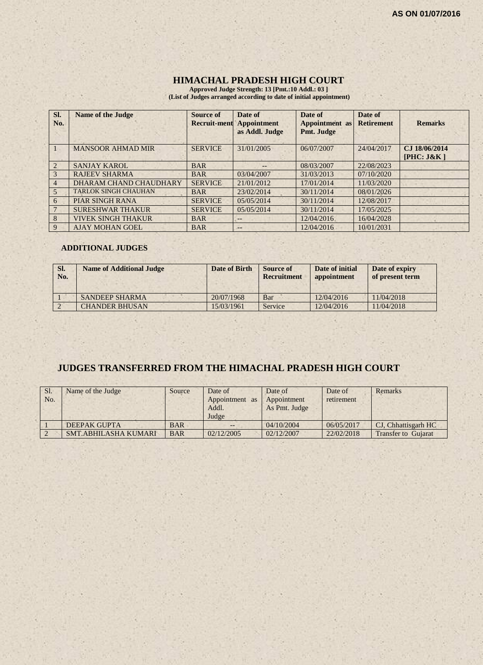#### **HIMACHAL PRADESH HIGH COURT**

**Approved Judge Strength: 13 [Pmt.:10 Addl.: 03 ] (List of Judges arranged according to date of initial appointment)**

| Sl.<br>No.     | <b>Name of the Judge</b>    | <b>Source of</b><br><b>Recruit-ment</b> | Date of<br><b>Appointment</b><br>as Addl. Judge | Date of<br><b>Appointment</b> as<br>Pmt. Judge | Date of<br><b>Retirement</b> | <b>Remarks</b>              |
|----------------|-----------------------------|-----------------------------------------|-------------------------------------------------|------------------------------------------------|------------------------------|-----------------------------|
|                | <b>MANSOOR AHMAD MIR</b>    | <b>SERVICE</b>                          | 31/01/2005                                      | 06/07/2007                                     | 24/04/2017                   | CJ 18/06/2014<br>[PHC: J&K] |
| 2              | <b>SANJAY KAROL</b>         | <b>BAR</b>                              | $- -$                                           | 08/03/2007                                     | 22/08/2023                   |                             |
| 3              | <b>RAJEEV SHARMA</b>        | <b>BAR</b>                              | 03/04/2007                                      | 31/03/2013                                     | 07/10/2020                   |                             |
| $\overline{4}$ | DHARAM CHAND CHAUDHARY      | <b>SERVICE</b>                          | 21/01/2012                                      | 17/01/2014                                     | 11/03/2020                   |                             |
| 5              | <b>TARLOK SINGH CHAUHAN</b> | <b>BAR</b>                              | 23/02/2014                                      | 30/11/2014                                     | 08/01/2026                   |                             |
| 6              | <b>PIAR SINGH RANA</b>      | <b>SERVICE</b>                          | 05/05/2014                                      | 30/11/2014                                     | 12/08/2017                   |                             |
|                | <b>SURESHWAR THAKUR</b>     | <b>SERVICE</b>                          | 05/05/2014                                      | 30/11/2014                                     | 17/05/2025                   |                             |
| 8              | VIVEK SINGH THAKUR          | <b>BAR</b>                              | --                                              | 12/04/2016                                     | 16/04/2028                   |                             |
| 9              | <b>AJAY MOHAN GOEL</b>      | <b>BAR</b>                              | $\qquad \qquad -$                               | 12/04/2016                                     | 10/01/2031                   |                             |

#### **ADDITIONAL JUDGES**

| SI.<br>No. | <b>Name of Additional Judge</b> | Date of Birth | <b>Source of</b><br><b>Recruitment</b> | Date of initial<br>appointment | Date of expiry<br>of present term |
|------------|---------------------------------|---------------|----------------------------------------|--------------------------------|-----------------------------------|
|            | <b>SANDEEP SHARMA</b>           | 20/07/1968    | Bar                                    | 12/04/2016                     | 11/04/2018                        |
|            | <b>CHANDER BHUSAN</b>           | 15/03/1961    | Service                                | 12/04/2016                     | 11/04/2018                        |

# **JUDGES TRANSFERRED FROM THE HIMACHAL PRADESH HIGH COURT**

| Sl.<br>No. | Name of the Judge           | Source     | Date of<br>Appointment as<br>Addl.<br>Judge | Date of<br>Appointment<br>As Pmt. Judge | Date of<br>retirement | Remarks                    |
|------------|-----------------------------|------------|---------------------------------------------|-----------------------------------------|-----------------------|----------------------------|
|            | <b>DEEPAK GUPTA</b>         | <b>BAR</b> |                                             | 04/10/2004                              | 06/05/2017            | CJ, Chhattisgarh HC        |
|            | <b>SMT.ABHILASHA KUMARI</b> | <b>BAR</b> | 02/12/2005                                  | 02/12/2007                              | 22/02/2018            | <b>Transfer to Guiarat</b> |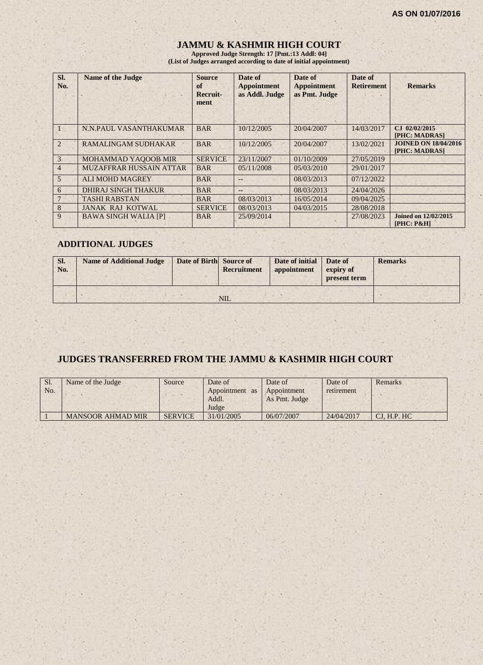# **JAMMU & KASHMIR HIGH COURT**

**Approved Judge Strength: 17 [Pmt.:13 Addl: 04] (List of Judges arranged according to date of initial appointment)**

| Sl.<br>No.     | <b>Name of the Judge</b>       | <b>Source</b><br>of<br>Recruit-<br>ment | Date of<br><b>Appointment</b><br>as Addl. Judge | Date of<br><b>Appointment</b><br>as Pmt. Judge | Date of<br><b>Retirement</b> | <b>Remarks</b>                               |
|----------------|--------------------------------|-----------------------------------------|-------------------------------------------------|------------------------------------------------|------------------------------|----------------------------------------------|
|                | N.N.PAUL VASANTHAKUMAR         | <b>BAR</b>                              | 10/12/2005                                      | 20/04/2007                                     | 14/03/2017                   | CJ 02/02/2015<br>[PHC: MADRAS]               |
| $\overline{2}$ | <b>RAMALINGAM SUDHAKAR</b>     | <b>BAR</b>                              | 10/12/2005                                      | 20/04/2007                                     | 13/02/2021                   | <b>JOINED ON 18/04/2016</b><br>[PHC: MADRAS] |
| 3 <sub>1</sub> | <b>MOHAMMAD YAQOOB MIR</b>     | <b>SERVICE</b>                          | 23/11/2007                                      | 01/10/2009                                     | 27/05/2019                   |                                              |
| $\overline{4}$ | <b>MUZAFFRAR HUSSAIN ATTAR</b> | <b>BAR</b>                              | 05/11/2008                                      | 05/03/2010                                     | 29/01/2017                   |                                              |
| $\overline{5}$ | <b>ALI MOHD MAGREY</b>         | <b>BAR</b>                              |                                                 | 08/03/2013                                     | 07/12/2022                   |                                              |
| 6              | <b>DHIRAJ SINGH THAKUR</b>     | <b>BAR</b>                              | $--$                                            | 08/03/2013                                     | 24/04/2026                   |                                              |
|                | <b>TASHI RABSTAN</b>           | <b>BAR</b>                              | 08/03/2013                                      | 16/05/2014                                     | 09/04/2025                   |                                              |
| 8              | <b>JANAK RAJ KOTWAL</b>        | <b>SERVICE</b>                          | 08/03/2013                                      | 04/03/2015                                     | 28/08/2018                   |                                              |
| 9              | <b>BAWA SINGH WALIA [P]</b>    | <b>BAR</b>                              | 25/09/2014                                      |                                                | 27/08/2023                   | <b>Joined on 12/02/2015</b><br>$[PHC: P\&H]$ |

#### **ADDITIONAL JUDGES**

| SI.<br>No. | <b>Name of Additional Judge</b> | Date of Birth Source of | <b>Recruitment</b> | Date of initial<br>appointment | Date of<br>expiry of<br>present term | <b>Remarks</b> |
|------------|---------------------------------|-------------------------|--------------------|--------------------------------|--------------------------------------|----------------|
|            |                                 |                         | <b>NIL</b>         |                                |                                      |                |

# **JUDGES TRANSFERRED FROM THE JAMMU & KASHMIR HIGH COURT**

| Sl.<br>No. | Name of the Judge        | Source         | Date of<br>Appointment<br><b>as</b><br>Addl.<br>Judge | Date of<br>Appointment<br>As Pmt. Judge | Date of<br>retirement | Remarks      |
|------------|--------------------------|----------------|-------------------------------------------------------|-----------------------------------------|-----------------------|--------------|
|            | <b>MANSOOR AHMAD MIR</b> | <b>SERVICE</b> | 31/01/2005                                            | 06/07/2007                              | 24/04/2017            | CI. H.P. H C |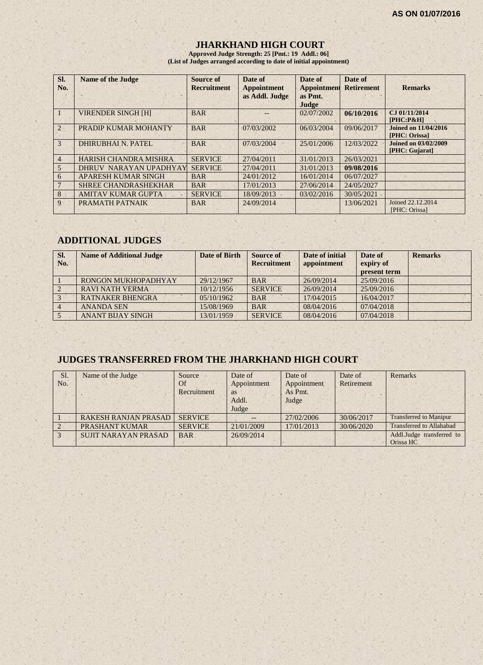### **JHARKHAND HIGH COURT**

**Approved Judge Strength: 25 [Pmt.: 19 Addl.: 06] (List of Judges arranged according to date of initial appointment)**

| Sl.<br>No.     | <b>Name of the Judge</b>     | Source of<br><b>Recruitment</b> | Date of<br><b>Appointment</b><br>as Addl. Judge | Date of<br><b>Appointment</b><br>as Pmt.<br>Judge | Date of<br><b>Retirement</b> | <b>Remarks</b>                                |
|----------------|------------------------------|---------------------------------|-------------------------------------------------|---------------------------------------------------|------------------------------|-----------------------------------------------|
|                | <b>VIRENDER SINGH [H]</b>    | <b>BAR</b>                      |                                                 | 02/07/2002                                        | 06/10/2016                   | CJ 01/11/2014<br>$[PHC: P\&H]$                |
| $\overline{2}$ | PRADIP KUMAR MOHANTY         | <b>BAR</b>                      | 07/03/2002                                      | 06/03/2004                                        | 09/06/2017                   | Joined on 11/04/2016<br>[PHC: Orissa]         |
| 3              | <b>DHIRUBHAI N. PATEL</b>    | <b>BAR</b>                      | 07/03/2004                                      | 25/01/2006                                        | 12/03/2022                   | <b>Joined on 03/02/2009</b><br>[PHC: Gujarat] |
| $\overline{4}$ | <b>HARISH CHANDRA MISHRA</b> | <b>SERVICE</b>                  | 27/04/2011                                      | 31/01/2013                                        | 26/03/2021                   |                                               |
| 5              | DHRUV NARAYAN UPADHYAY       | <b>SERVICE</b>                  | 27/04/2011                                      | 31/01/2013                                        | 09/08/2016                   |                                               |
| 6              | <b>APARESH KUMAR SINGH</b>   | <b>BAR</b>                      | 24/01/2012                                      | 16/01/2014                                        | 06/07/2027                   |                                               |
|                | <b>SHREE CHANDRASHEKHAR</b>  | <b>BAR</b>                      | 17/01/2013                                      | 27/06/2014                                        | 24/05/2027                   |                                               |
| 8              | <b>AMITAV KUMAR GUPTA</b>    | <b>SERVICE</b>                  | 18/09/2013                                      | 03/02/2016                                        | 30/05/2021                   |                                               |
| 9              | PRAMATH PATNAIK              | <b>BAR</b>                      | 24/09/2014                                      |                                                   | 13/06/2021                   | Joined 22.12.2014<br>[PHC: Orissa]            |

# **ADDITIONAL JUDGES**

| SI.<br>No. | <b>Name of Additional Judge</b> | <b>Date of Birth</b> | Source of<br><b>Recruitment</b> | Date of initial<br>appointment | Date of<br>expiry of<br>present term | <b>Remarks</b> |
|------------|---------------------------------|----------------------|---------------------------------|--------------------------------|--------------------------------------|----------------|
|            | RONGON MUKHOPADHYAY             | 29/12/1967           | <b>BAR</b>                      | 26/09/2014                     | 25/09/2016                           |                |
|            | <b>RAVI NATH VERMA</b>          | 10/12/1956           | <b>SERVICE</b>                  | 26/09/2014                     | 25/09/2016                           |                |
|            | <b>RATNAKER BHENGRA</b>         | 05/10/1962           | <b>BAR</b>                      | 17/04/2015                     | 16/04/2017                           |                |
|            | <b>ANANDA SEN</b>               | 15/08/1969           | <b>BAR</b>                      | 08/04/2016                     | 07/04/2018                           |                |
|            | <b>ANANT BIJAY SINGH</b>        | 13/01/1959           | <b>SERVICE</b>                  | 08/04/2016                     | 07/04/2018                           |                |

# **JUDGES TRANSFERRED FROM THE JHARKHAND HIGH COURT**

| Sl.<br>No.    | Name of the Judge           | Source<br>Of<br>Recruitment | Date of<br>Appointment<br>as<br>Addl.<br>Judge | Date of<br>Appointment<br>As Pmt.<br>Judge | Date of<br>Retirement | Remarks                                |
|---------------|-----------------------------|-----------------------------|------------------------------------------------|--------------------------------------------|-----------------------|----------------------------------------|
|               | <b>RAKESH RANJAN PRASAD</b> | <b>SERVICE</b>              |                                                | 27/02/2006                                 | 30/06/2017            | <b>Transferred to Manipur</b>          |
| $\sqrt{2}$    | PRASHANT KUMAR              | <b>SERVICE</b>              | 21/01/2009                                     | 17/01/2013                                 | 30/06/2020            | <b>Transferred to Allahabad</b>        |
| $\mathcal{Z}$ | <b>SUJIT NARAYAN PRASAD</b> | <b>BAR</b>                  | 26/09/2014                                     |                                            |                       | Addl.Judge transferred to<br>Orissa HC |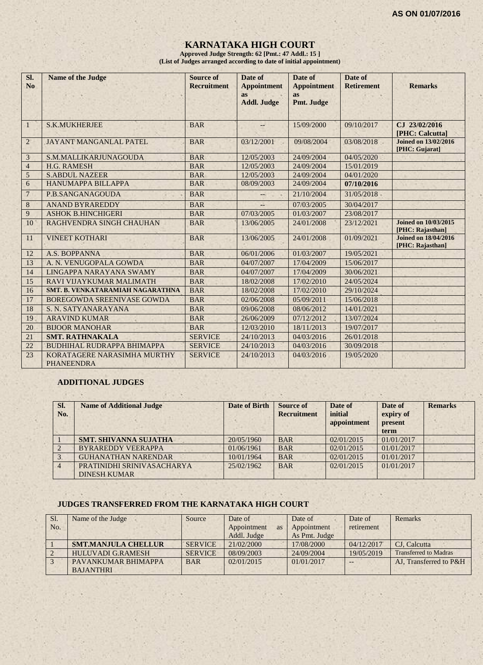# **KARNATAKA HIGH COURT**

**Approved Judge Strength: 62 [Pmt.: 47 Addl.: 15 ] (List of Judges arranged according to date of initial appointment)**

| Sl.<br>N <sub>o</sub> | <b>Name of the Judge</b>                         | Source of<br><b>Recruitment</b> | Date of<br><b>Appointment</b><br>as | Date of<br><b>Appointment</b><br>as | Date of<br><b>Retirement</b> | <b>Remarks</b>                                  |
|-----------------------|--------------------------------------------------|---------------------------------|-------------------------------------|-------------------------------------|------------------------------|-------------------------------------------------|
|                       |                                                  |                                 | <b>Addl. Judge</b>                  | Pmt. Judge                          |                              |                                                 |
| $\mathbf{1}$          | <b>S.K.MUKHERJEE</b>                             | <b>BAR</b>                      |                                     | 15/09/2000                          | 09/10/2017                   | CJ 23/02/2016<br>[PHC: Calcutta]                |
| $\overline{2}$        | <b>JAYANT MANGANLAL PATEL</b>                    | <b>BAR</b>                      | 03/12/2001                          | 09/08/2004                          | 03/08/2018                   | <b>Joined on 13/02/2016</b><br>[PHC: Gujarat]   |
| 3                     | S.M.MALLIKARJUNAGOUDA                            | <b>BAR</b>                      | 12/05/2003                          | 24/09/2004                          | 04/05/2020                   |                                                 |
| $\overline{4}$        | <b>H.G. RAMESH</b>                               | <b>BAR</b>                      | 12/05/2003                          | 24/09/2004                          | 15/01/2019                   |                                                 |
| 5                     | <b>S.ABDUL NAZEER</b>                            | <b>BAR</b>                      | 12/05/2003                          | 24/09/2004                          | 04/01/2020                   |                                                 |
| 6                     | <b>HANUMAPPA BILLAPPA</b>                        | <b>BAR</b>                      | 08/09/2003                          | 24/09/2004                          | 07/10/2016                   |                                                 |
| $7\phantom{.0}$       | P.B.SANGANAGOUDA                                 | <b>BAR</b>                      | $-$                                 | 21/10/2004                          | 31/05/2018                   |                                                 |
| $\bf 8$               | <b>ANAND BYRAREDDY</b>                           | <b>BAR</b>                      |                                     | 07/03/2005                          | 30/04/2017                   |                                                 |
| 9                     | <b>ASHOK B.HINCHIGERI</b>                        | <b>BAR</b>                      | 07/03/2005                          | 01/03/2007                          | 23/08/2017                   |                                                 |
| 10                    | RAGHVENDRA SINGH CHAUHAN                         | <b>BAR</b>                      | 13/06/2005                          | 24/01/2008                          | 23/12/2021                   | <b>Joined on 10/03/2015</b><br>[PHC: Rajasthan] |
| 11                    | <b>VINEET KOTHARI</b>                            | <b>BAR</b>                      | 13/06/2005                          | 24/01/2008                          | 01/09/2021                   | <b>Joined on 18/04/2016</b><br>[PHC: Rajasthan] |
| 12                    | A.S. BOPPANNA                                    | <b>BAR</b>                      | 06/01/2006                          | 01/03/2007                          | 19/05/2021                   |                                                 |
| 13                    | A. N. VENUGOPALA GOWDA                           | <b>BAR</b>                      | 04/07/2007                          | 17/04/2009                          | 15/06/2017                   |                                                 |
| 14                    | LINGAPPA NARAYANA SWAMY                          | <b>BAR</b>                      | 04/07/2007                          | 17/04/2009                          | 30/06/2021                   |                                                 |
| 15                    | RAVI VIJAYKUMAR MALIMATH                         | <b>BAR</b>                      | 18/02/2008                          | 17/02/2010                          | 24/05/2024                   |                                                 |
| 16                    | <b>SMT. B. VENKATARAMIAH NAGARATHNA</b>          | <b>BAR</b>                      | 18/02/2008                          | 17/02/2010                          | 29/10/2024                   |                                                 |
| 17                    | <b>BOREGOWDA SREENIVASE GOWDA</b>                | <b>BAR</b>                      | 02/06/2008                          | 05/09/2011                          | 15/06/2018                   |                                                 |
| 18                    | S. N. SATYANARAYANA                              | <b>BAR</b>                      | 09/06/2008                          | 08/06/2012                          | 14/01/2021                   |                                                 |
| 19                    | <b>ARAVIND KUMAR</b>                             | <b>BAR</b>                      | 26/06/2009                          | 07/12/2012                          | 13/07/2024                   |                                                 |
| 20                    | <b>BIJOOR MANOHAR</b>                            | <b>BAR</b>                      | 12/03/2010                          | 18/11/2013                          | 19/07/2017                   |                                                 |
| 21                    | <b>SMT. RATHNAKALA</b>                           | <b>SERVICE</b>                  | 24/10/2013                          | 04/03/2016                          | 26/01/2018                   |                                                 |
| 22                    | <b>BUDHIHAL RUDRAPPA BHIMAPPA</b>                | <b>SERVICE</b>                  | 24/10/2013                          | 04/03/2016                          | 30/09/2018                   |                                                 |
| 23                    | KORATAGERE NARASIMHA MURTHY<br><b>PHANEENDRA</b> | <b>SERVICE</b>                  | 24/10/2013                          | 04/03/2016                          | 19/05/2020                   |                                                 |

#### **ADDITIONAL JUDGES**

| SI.<br>No. | <b>Name of Additional Judge</b>                   | <b>Date of Birth</b> | <b>Source of</b><br><b>Recruitment</b> | Date of<br>initial<br>appointment | Date of<br>expiry of<br>present<br>term | <b>Remarks</b> |
|------------|---------------------------------------------------|----------------------|----------------------------------------|-----------------------------------|-----------------------------------------|----------------|
|            | <b>SMT. SHIVANNA SUJATHA</b>                      | 20/05/1960           | <b>BAR</b>                             | 02/01/2015                        | 01/01/2017                              |                |
|            | <b>BYRAREDDY VEERAPPA</b>                         | 01/06/1961           | <b>BAR</b>                             | 02/01/2015                        | 01/01/2017                              |                |
|            | <b>GUHANATHAN NARENDAR</b>                        | 10/01/1964           | <b>BAR</b>                             | 02/01/2015                        | 01/01/2017                              |                |
|            | PRATINIDHI SRINIVASACHARYA<br><b>DINESH KUMAR</b> | 25/02/1962           | <b>BAR</b>                             | 02/01/2015                        | 01/01/2017                              |                |

#### **JUDGES TRANSFERRED FROM THE KARNATAKA HIGH COURT**

| Sl. | Name of the Judge          | Source         | Date of           | Date of       | Date of    | Remarks                      |
|-----|----------------------------|----------------|-------------------|---------------|------------|------------------------------|
| No. |                            |                | Appointment<br>as | Appointment   | retirement |                              |
|     |                            |                | Addl. Judge       | As Pmt. Judge |            |                              |
|     | <b>SMT.MANJULA CHELLUR</b> | <b>SERVICE</b> | 21/02/2000        | 17/08/2000    | 04/12/2017 | CJ. Calcutta                 |
|     | <b>HULUVADI G.RAMESH</b>   | <b>SERVICE</b> | 08/09/2003        | 24/09/2004    | 19/05/2019 | <b>Transferred to Madras</b> |
|     | PAVANKUMAR BHIMAPPA        | <b>BAR</b>     | 02/01/2015        | 01/01/2017    |            | AJ. Transferred to P&H       |
|     | <b>BAJANTHRI</b>           |                |                   |               |            |                              |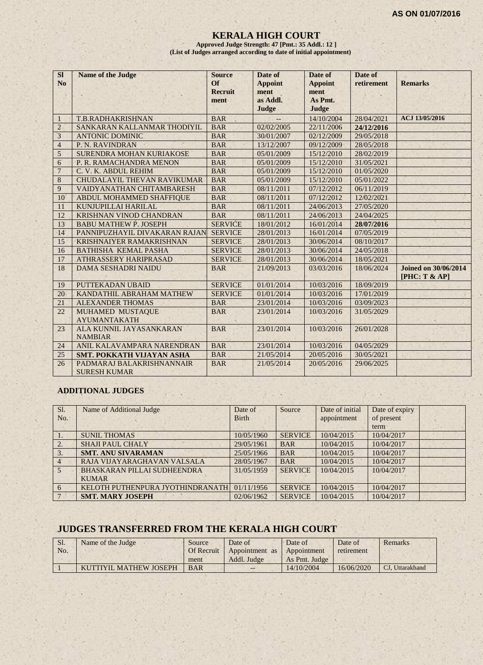#### **KERALA HIGH COURT**

**Approved Judge Strength: 47 [Pmt.: 35 Addl.: 12 ] (List of Judges arranged according to date of initial appointment)**

| SI               | <b>Name of the Judge</b>         | <b>Source</b>  | Date of        | Date of        | Date of    |                             |
|------------------|----------------------------------|----------------|----------------|----------------|------------|-----------------------------|
| N <sub>o</sub>   |                                  | <b>Of</b>      | <b>Appoint</b> | <b>Appoint</b> | retirement | <b>Remarks</b>              |
|                  |                                  | <b>Recruit</b> | ment           | ment           |            |                             |
|                  |                                  | ment           | as Addl.       | As Pmt.        |            |                             |
|                  |                                  |                | Judge          | Judge          |            |                             |
| $\mathbf{1}$     | <b>T.B.RADHAKRISHNAN</b>         | <b>BAR</b>     |                | 14/10/2004     | 28/04/2021 | ACJ 13/05/2016              |
| $\overline{2}$   | SANKARAN KALLANMAR THODIYIL      | <b>BAR</b>     | 02/02/2005     | 22/11/2006     | 24/12/2016 |                             |
| 3                | <b>ANTONIC DOMINIC</b>           | <b>BAR</b>     | 30/01/2007     | 02/12/2009     | 29/05/2018 |                             |
| $\overline{4}$   | P. N. RAVINDRAN                  | <b>BAR</b>     | 13/12/2007     | 09/12/2009     | 28/05/2018 |                             |
| 5                | SURENDRA MOHAN KURIAKOSE         | <b>BAR</b>     | 05/01/2009     | 15/12/2010     | 28/02/2019 |                             |
| $\boldsymbol{6}$ | P. R. RAMACHANDRA MENON          | <b>BAR</b>     | 05/01/2009     | 15/12/2010     | 31/05/2021 |                             |
| $\overline{7}$   | C. V. K. ABDUL REHIM             | <b>BAR</b>     | 05/01/2009     | 15/12/2010     | 01/05/2020 |                             |
| 8                | CHUDALAYIL THEVAN RAVIKUMAR      | <b>BAR</b>     | 05/01/2009     | 15/12/2010     | 05/01/2022 |                             |
| 9                | VAIDYANATHAN CHITAMBARESH        | <b>BAR</b>     | 08/11/2011     | 07/12/2012     | 06/11/2019 |                             |
| 10               | ABDUL MOHAMMED SHAFFIQUE         | <b>BAR</b>     | 08/11/2011     | 07/12/2012     | 12/02/2021 |                             |
| 11               | KUNJUPILLAI HARILAL              | <b>BAR</b>     | 08/11/2011     | 24/06/2013     | 27/05/2020 |                             |
| 12               | KRISHNAN VINOD CHANDRAN          | <b>BAR</b>     | 08/11/2011     | 24/06/2013     | 24/04/2025 |                             |
| 13               | <b>BABU MATHEW P. JOSEPH</b>     | <b>SERVICE</b> | 18/01/2012     | 16/01/2014     | 28/07/2016 |                             |
| 14               | PANNIPUZHAYIL DIVAKARAN RAJAN    | <b>SERVICE</b> | 28/01/2013     | 16/01/2014     | 07/05/2019 |                             |
| 15               | <b>KRISHNAIYER RAMAKRISHNAN</b>  | <b>SERVICE</b> | 28/01/2013     | 30/06/2014     | 08/10/2017 |                             |
| 16               | <b>BATHISHA KEMAL PASHA</b>      | <b>SERVICE</b> | 28/01/2013     | 30/06/2014     | 24/05/2018 |                             |
| 17               | <b>ATHRASSERY HARIPRASAD</b>     | <b>SERVICE</b> | 28/01/2013     | 30/06/2014     | 18/05/2021 |                             |
| 18               | <b>DAMA SESHADRI NAIDU</b>       | <b>BAR</b>     | 21/09/2013     | 03/03/2016     | 18/06/2024 | <b>Joined on 30/06/2014</b> |
|                  |                                  |                |                |                |            | [PHC: T & AP]               |
| 19               | PUTTEKADAN UBAID                 | <b>SERVICE</b> | 01/01/2014     | 10/03/2016     | 18/09/2019 |                             |
| 20               | KANDATHIL ABRAHAM MATHEW         | <b>SERVICE</b> | 01/01/2014     | 10/03/2016     | 17/01/2019 |                             |
| 21               | <b>ALEXANDER THOMAS</b>          | <b>BAR</b>     | 23/01/2014     | 10/03/2016     | 03/09/2023 |                             |
| 22               | MUHAMED MUSTAQUE                 | <b>BAR</b>     | 23/01/2014     | 10/03/2016     | 31/05/2029 |                             |
|                  | <b>AYUMANTAKATH</b>              |                |                |                |            |                             |
| 23               | ALA KUNNIL JAYASANKARAN          | <b>BAR</b>     | 23/01/2014     | 10/03/2016     | 26/01/2028 |                             |
|                  | <b>NAMBIAR</b>                   |                |                |                |            |                             |
| 24               | ANIL KALAVAMPARA NARENDRAN       | <b>BAR</b>     | 23/01/2014     | 10/03/2016     | 04/05/2029 |                             |
| 25               | <b>SMT. POKKATH VIJAYAN ASHA</b> | <b>BAR</b>     | 21/05/2014     | 20/05/2016     | 30/05/2021 |                             |
| 26               | PADMARAJ BALAKRISHNANNAIR        | <b>BAR</b>     | 21/05/2014     | 20/05/2016     | 29/06/2025 |                             |
|                  | <b>SURESH KUMAR</b>              |                |                |                |            |                             |

#### **ADDITIONAL JUDGES**

| Sl.             | Name of Additional Judge         | Date of      | Source         | Date of initial | Date of expiry |  |
|-----------------|----------------------------------|--------------|----------------|-----------------|----------------|--|
| No.             |                                  | <b>Birth</b> |                | appointment     | of present     |  |
|                 |                                  |              |                |                 | term           |  |
| $\mathbf{1}$ .  | <b>SUNIL THOMAS</b>              | 10/05/1960   | <b>SERVICE</b> | 10/04/2015      | 10/04/2017     |  |
| 2.              | <b>SHAJI PAUL CHALY</b>          | 29/05/1961   | <b>BAR</b>     | 10/04/2015      | 10/04/2017     |  |
| 3.              | <b>SMT. ANU SIVARAMAN</b>        | 25/05/1966   | <b>BAR</b>     | 10/04/2015      | 10/04/2017     |  |
| $\overline{4}$  | RAJA VIJAYARAGHAVAN VALSALA      | 28/05/1967   | <b>BAR</b>     | 10/04/2015      | 10/04/2017     |  |
| $5\overline{5}$ | BHASKARAN PILLAI SUDHEENDRA      | 31/05/1959   | <b>SERVICE</b> | 10/04/2015      | 10/04/2017     |  |
|                 | <b>KUMAR</b>                     |              |                |                 |                |  |
| 6               | KELOTH PUTHENPURA JYOTHINDRANATH | 01/11/1956   | <b>SERVICE</b> | 10/04/2015      | 10/04/2017     |  |
|                 | <b>SMT. MARY JOSEPH</b>          | 02/06/1962   | <b>SERVICE</b> | 10/04/2015      | 10/04/2017     |  |

# **JUDGES TRANSFERRED FROM THE KERALA HIGH COURT**

| Sl. | Name of the Judge      | Source     | Date of                    | Date of       | Date of    | Remarks         |
|-----|------------------------|------------|----------------------------|---------------|------------|-----------------|
| No. |                        | Of Recruit | Appointment as Appointment |               | retirement |                 |
|     |                        | ment       | Addl. Judge                | As Pmt. Judge |            |                 |
|     | KUTTIYIL MATHEW JOSEPH | <b>BAR</b> | $- -$                      | 14/10/2004    | 16/06/2020 | CJ. Uttarakhand |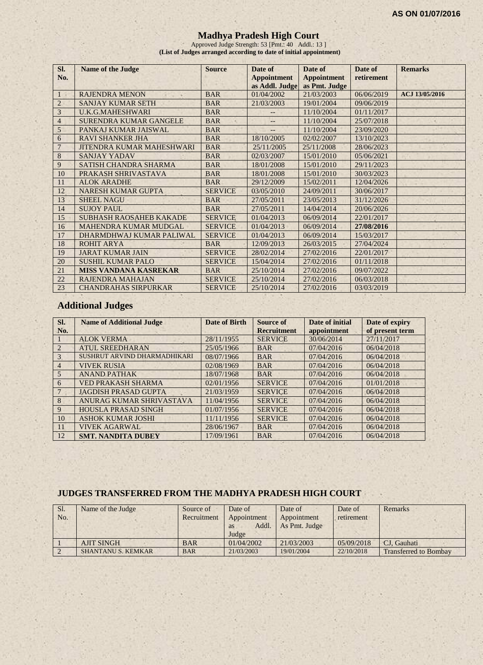#### **Madhya Pradesh High Court**

Approved Judge Strength: 53 [Pmt.: 40 Addl.: 13 ] **(List of Judges arranged according to date of initial appointment)**

| SI.            | <b>Name of the Judge</b>         | <b>Source</b>  | Date of            | Date of            | Date of    | <b>Remarks</b> |
|----------------|----------------------------------|----------------|--------------------|--------------------|------------|----------------|
| No.            |                                  |                | <b>Appointment</b> | <b>Appointment</b> | retirement |                |
|                |                                  |                | as Addl. Judge     | as Pmt. Judge      |            |                |
| 1              | <b>RAJENDRA MENON</b>            | <b>BAR</b>     | 01/04/2002         | 21/03/2003         | 06/06/2019 | ACJ 13/05/2016 |
| $\overline{2}$ | <b>SANJAY KUMAR SETH</b>         | <b>BAR</b>     | 21/03/2003         | 19/01/2004         | 09/06/2019 |                |
| 3              | <b>U.K.G.MAHESHWARI</b>          | <b>BAR</b>     |                    | 11/10/2004         | 01/11/2017 |                |
| $\overline{4}$ | SURENDRA KUMAR GANGELE           | <b>BAR</b>     | $-$                | 11/10/2004         | 25/07/2018 |                |
| 5              | PANKAJ KUMAR JAISWAL             | <b>BAR</b>     | $--$               | 11/10/2004         | 23/09/2020 |                |
| 6              | <b>RAVI SHANKER JHA</b>          | <b>BAR</b>     | 18/10/2005         | 02/02/2007         | 13/10/2023 |                |
| $\overline{7}$ | <b>JITENDRA KUMAR MAHESHWARI</b> | <b>BAR</b>     | 25/11/2005         | 25/11/2008         | 28/06/2023 |                |
| 8              | <b>SANJAY YADAV</b>              | <b>BAR</b>     | 02/03/2007         | 15/01/2010         | 05/06/2021 |                |
| 9              | SATISH CHANDRA SHARMA            | <b>BAR</b>     | 18/01/2008         | 15/01/2010         | 29/11/2023 |                |
| 10             | PRAKASH SHRIVASTAVA              | <b>BAR</b>     | 18/01/2008         | 15/01/2010         | 30/03/2023 |                |
| 11             | <b>ALOK ARADHE</b>               | <b>BAR</b>     | 29/12/2009         | 15/02/2011         | 12/04/2026 |                |
| 12             | <b>NARESH KUMAR GUPTA</b>        | <b>SERVICE</b> | 03/05/2010         | 24/09/2011         | 30/06/2017 |                |
| 13             | <b>SHEEL NAGU</b>                | <b>BAR</b>     | 27/05/2011         | 23/05/2013         | 31/12/2026 |                |
| 14             | <b>SUJOY PAUL</b>                | <b>BAR</b>     | 27/05/2011         | 14/04/2014         | 20/06/2026 |                |
| 15             | <b>SUBHASH RAOSAHEB KAKADE</b>   | <b>SERVICE</b> | 01/04/2013         | 06/09/2014         | 22/01/2017 |                |
| 16             | <b>MAHENDRA KUMAR MUDGAL</b>     | <b>SERVICE</b> | 01/04/2013         | 06/09/2014         | 27/08/2016 |                |
| 17             | DHARMDHWAJ KUMAR PALIWAL         | <b>SERVICE</b> | 01/04/2013         | 06/09/2014         | 15/03/2017 |                |
| 18             | <b>ROHIT ARYA</b>                | <b>BAR</b>     | 12/09/2013         | 26/03/2015         | 27/04/2024 |                |
| 19             | <b>JARAT KUMAR JAIN</b>          | <b>SERVICE</b> | 28/02/2014         | 27/02/2016         | 22/01/2017 |                |
| 20             | SUSHIL KUMAR PALO                | <b>SERVICE</b> | 15/04/2014         | 27/02/2016         | 01/11/2018 |                |
| 21             | <b>MISS VANDANA KASREKAR</b>     | <b>BAR</b>     | 25/10/2014         | 27/02/2016         | 09/07/2022 |                |
| 22             | <b>RAJENDRA MAHAJAN</b>          | <b>SERVICE</b> | 25/10/2014         | 27/02/2016         | 06/03/2018 |                |
| 23             | <b>CHANDRAHAS SIRPURKAR</b>      | <b>SERVICE</b> | 25/10/2014         | 27/02/2016         | 03/03/2019 |                |

# **Additional Judges**

| SI.<br>No.     | <b>Name of Additional Judge</b> | Date of Birth | <b>Source of</b><br><b>Recruitment</b> | Date of initial<br>appointment | Date of expiry<br>of present term |
|----------------|---------------------------------|---------------|----------------------------------------|--------------------------------|-----------------------------------|
|                | <b>ALOK VERMA</b>               | 28/11/1955    | <b>SERVICE</b>                         | 30/06/2014                     | 27/11/2017                        |
| 2              | <b>ATUL SREEDHARAN</b>          | 25/05/1966    | <b>BAR</b>                             | 07/04/2016                     | 06/04/2018                        |
| 3              | SUSHRUT ARVIND DHARMADHIKARI    | 08/07/1966    | <b>BAR</b>                             | 07/04/2016                     | 06/04/2018                        |
| $\overline{4}$ | <b>VIVEK RUSIA</b>              | 02/08/1969    | <b>BAR</b>                             | 07/04/2016                     | 06/04/2018                        |
| 5              | <b>ANAND PATHAK</b>             | 18/07/1968    | <b>BAR</b>                             | 07/04/2016                     | 06/04/2018                        |
| 6              | <b>VED PRAKASH SHARMA</b>       | 02/01/1956    | <b>SERVICE</b>                         | 07/04/2016                     | 01/01/2018                        |
|                | <b>JAGDISH PRASAD GUPTA</b>     | 21/03/1959    | <b>SERVICE</b>                         | 07/04/2016                     | 06/04/2018                        |
| 8              | ANURAG KUMAR SHRIVASTAVA        | 11/04/1956    | <b>SERVICE</b>                         | 07/04/2016                     | 06/04/2018                        |
| 9              | <b>HOUSLA PRASAD SINGH</b>      | 01/07/1956    | <b>SERVICE</b>                         | 07/04/2016                     | 06/04/2018                        |
| 10             | <b>ASHOK KUMAR JOSHI</b>        | 11/11/1956    | <b>SERVICE</b>                         | 07/04/2016                     | 06/04/2018                        |
| 11             | <b>VIVEK AGARWAL</b>            | 28/06/1967    | <b>BAR</b>                             | 07/04/2016                     | 06/04/2018                        |
| 12             | <b>SMT. NANDITA DUBEY</b>       | 17/09/1961    | <b>BAR</b>                             | 07/04/2016                     | 06/04/2018                        |

# **JUDGES TRANSFERRED FROM THE MADHYA PRADESH HIGH COURT**

| Sl.<br>No. | Name of the Judge         | Source of<br>Recruitment | Date of<br>Appointment<br>Addl.<br><b>as</b><br>Judge | Date of<br>Appointment<br>As Pmt. Judge | Date of<br>retirement | Remarks                      |
|------------|---------------------------|--------------------------|-------------------------------------------------------|-----------------------------------------|-----------------------|------------------------------|
|            | <b>AJIT SINGH</b>         | <b>BAR</b>               | 01/04/2002                                            | 21/03/2003                              | 05/09/2018            | CJ. Gauhati                  |
|            | <b>SHANTANU S. KEMKAR</b> | <b>BAR</b>               | 21/03/2003                                            | 19/01/2004                              | 22/10/2018            | <b>Transferred to Bombay</b> |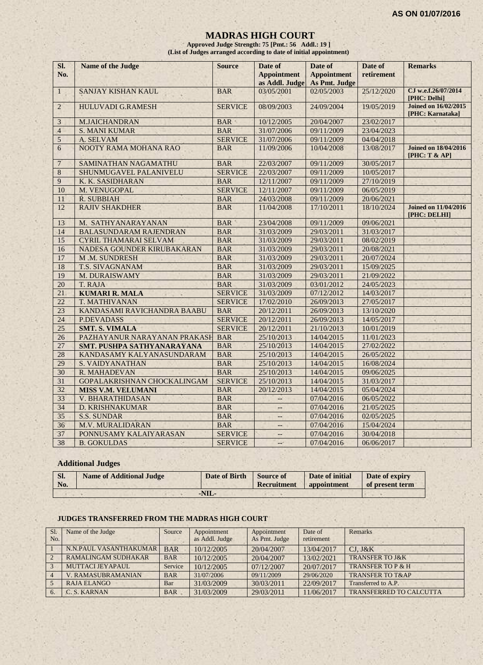#### **MADRAS HIGH COURT**

**Approved Judge Strength: 75 [Pmt.: 56 Addl.: 19 ] (List of Judges arranged according to date of initial appointment)**

| SI.<br>No.     | Name of the Judge             | <b>Source</b>  | Date of<br><b>Appointment</b><br>as Addl. Judge | Date of<br><b>Appointment</b><br>As Pmt. Judge | Date of<br>retirement | <b>Remarks</b>                                  |
|----------------|-------------------------------|----------------|-------------------------------------------------|------------------------------------------------|-----------------------|-------------------------------------------------|
| $\mathbf{1}$   | <b>SANJAY KISHAN KAUL</b>     | <b>BAR</b>     | 03/05/2001                                      | 02/05/2003                                     | 25/12/2020            | CJ w.e.f.26/07/2014<br>[PHC: Delhi]             |
| $\overline{2}$ | <b>HULUVADI G.RAMESH</b>      | <b>SERVICE</b> | 08/09/2003                                      | 24/09/2004                                     | 19/05/2019            | <b>Joined on 16/02/2015</b><br>[PHC: Karnataka] |
| $\mathfrak{Z}$ | <b>M.JAICHANDRAN</b>          | <b>BAR</b>     | 10/12/2005                                      | 20/04/2007                                     | 23/02/2017            |                                                 |
| $\overline{4}$ | <b>S. MANI KUMAR</b>          | <b>BAR</b>     | 31/07/2006                                      | 09/11/2009                                     | 23/04/2023            |                                                 |
| 5              | A. SELVAM                     | <b>SERVICE</b> | 31/07/2006                                      | 09/11/2009                                     | 04/04/2018            |                                                 |
| 6              | NOOTY RAMA MOHANA RAO         | <b>BAR</b>     | 11/09/2006                                      | 10/04/2008                                     | 13/08/2017            | <b>Joined on 18/04/2016</b><br>[PHC: T & A      |
| $\overline{7}$ | SAMINATHAN NAGAMATHU          | <b>BAR</b>     | 22/03/2007                                      | 09/11/2009                                     | 30/05/2017            |                                                 |
| $\overline{8}$ | SHUNMUGAVEL PALANIVELU        | <b>SERVICE</b> | 22/03/2007                                      | 09/11/2009                                     | 10/05/2017            |                                                 |
| 9              | K. K. SASIDHARAN              | <b>BAR</b>     | 12/11/2007                                      | 09/11/2009                                     | 27/10/2019            |                                                 |
| 10             | M. VENUGOPAL                  | <b>SERVICE</b> | 12/11/2007                                      | 09/11/2009                                     | 06/05/2019            |                                                 |
| 11             | <b>R. SUBBIAH</b>             | <b>BAR</b>     | 24/03/2008                                      | 09/11/2009                                     | 20/06/2021            |                                                 |
| 12             | <b>RAJIV SHAKDHER</b>         | <b>BAR</b>     | 11/04/2008                                      | 17/10/2011                                     | 18/10/2024            | <b>Joined on 11/04/2016</b><br>[PHC: DELHI]     |
| 13             | M. SATHYANARAYANAN            | <b>BAR</b>     | 23/04/2008                                      | 09/11/2009                                     | 09/06/2021            |                                                 |
| 14             | <b>BALASUNDARAM RAJENDRAN</b> | <b>BAR</b>     | 31/03/2009                                      | 29/03/2011                                     | 31/03/2017            |                                                 |
| 15             | <b>CYRIL THAMARAI SELVAM</b>  | <b>BAR</b>     | 31/03/2009                                      | 29/03/2011                                     | 08/02/2019            |                                                 |
| 16             | NADESA GOUNDER KIRUBAKARAN    | <b>BAR</b>     | 31/03/2009                                      | 29/03/2011                                     | 20/08/2021            |                                                 |
| 17             | M.M. SUNDRESH                 | <b>BAR</b>     | 31/03/2009                                      | 29/03/2011                                     | 20/07/2024            |                                                 |
| 18             | T.S. SIVAGNANAM               | <b>BAR</b>     | 31/03/2009                                      | 29/03/2011                                     | 15/09/2025            |                                                 |
| 19             | M. DURAISWAMY                 | <b>BAR</b>     | 31/03/2009                                      | 29/03/2011                                     | 21/09/2022            |                                                 |
| 20             | T. RAJA                       | <b>BAR</b>     | 31/03/2009                                      | 03/01/2012                                     | 24/05/2023            |                                                 |
| 21             | <b>KUMARI R. MALA</b>         | <b>SERVICE</b> | 31/03/2009                                      | 07/12/2012                                     | 14/03/2017            |                                                 |
| 22             | <b>T. MATHIVANAN</b>          | <b>SERVICE</b> | 17/02/2010                                      | 26/09/2013                                     | 27/05/2017            |                                                 |
| 23             | KANDASAMI RAVICHANDRA BAABU   | <b>BAR</b>     | 20/12/2011                                      | 26/09/2013                                     | 13/10/2020            |                                                 |
| 24             | <b>P.DEVADASS</b>             | <b>SERVICE</b> | 20/12/2011                                      | 26/09/2013                                     | 14/05/2017            |                                                 |
| 25             | <b>SMT. S. VIMALA</b>         | <b>SERVICE</b> | 20/12/2011                                      | 21/10/2013                                     | 10/01/2019            |                                                 |
| 26             | PAZHAYANUR NARAYANAN PRAKASH  | <b>BAR</b>     | 25/10/2013                                      | 14/04/2015                                     | 11/01/2023            |                                                 |
| 27             | SMT. PUSHPA SATHYANARAYANA    | <b>BAR</b>     | 25/10/2013                                      | 14/04/2015                                     | 27/02/2022            |                                                 |
| 28             | KANDASAMY KALYANASUNDARAM     | <b>BAR</b>     | 25/10/2013                                      | 14/04/2015                                     | 26/05/2022            |                                                 |
| 29             | <b>S. VAIDYANATHAN</b>        | <b>BAR</b>     | 25/10/2013                                      | 14/04/2015                                     | 16/08/2024            |                                                 |
| 30             | R. MAHADEVAN                  | <b>BAR</b>     | 25/10/2013                                      | 14/04/2015                                     | 09/06/2025            |                                                 |
| 31             | GOPALAKRISHNAN CHOCKALINGAM   | <b>SERVICE</b> | 25/10/2013                                      | 14/04/2015                                     | 31/03/2017            |                                                 |
| 32             | <b>MISS V.M. VELUMANI</b>     | <b>BAR</b>     | 20/12/2013                                      | 14/04/2015                                     | 05/04/2024            |                                                 |
| 33             | V. BHARATHIDASAN              | <b>BAR</b>     | ÷                                               | 07/04/2016                                     | 06/05/2022            |                                                 |
| 34             | <b>D. KRISHNAKUMAR</b>        | <b>BAR</b>     | --                                              | 07/04/2016                                     | 21/05/2025            |                                                 |
| 35             | <b>S.S. SUNDAR</b>            | <b>BAR</b>     | $\overline{\phantom{a}}$                        | 07/04/2016                                     | 02/05/2025            |                                                 |
| 36             | <b>M.V. MURALIDARAN</b>       | <b>BAR</b>     | $\overline{\phantom{a}}$                        | 07/04/2016                                     | 15/04/2024            |                                                 |
| 37             | PONNUSAMY KALAIYARASAN        | <b>SERVICE</b> |                                                 | 07/04/2016                                     | 30/04/2018            |                                                 |
| 38             | <b>B. GOKULDAS</b><br>S.      | <b>SERVICE</b> | $\mathcal{L}_{\mathcal{A}}$                     | 07/04/2016                                     | 06/06/2017            |                                                 |

# **Additional Judges**

| SI.<br>No. | <b>Name of Additional Judge</b> | Date of Birth | Source of<br>Recruitment | Date of initial<br><b>appointment</b> | Date of expiry<br>of present term |
|------------|---------------------------------|---------------|--------------------------|---------------------------------------|-----------------------------------|
|            |                                 | -NIL-         |                          |                                       |                                   |

#### **JUDGES TRANSFERRED FROM THE MADRAS HIGH COURT**

| S <sub>1</sub> | Name of the Judge          | Source     | Appointment    | Appointment   | Date of    | Remarks                        |
|----------------|----------------------------|------------|----------------|---------------|------------|--------------------------------|
| No.            |                            |            | as Addl. Judge | As Pmt. Judge | retirement |                                |
|                | N.N.PAUL VASANTHAKUMAR     | <b>BAR</b> | 10/12/2005     | 20/04/2007    | 13/04/2017 | $CJ.$ J&K                      |
| $\overline{2}$ | <b>RAMALINGAM SUDHAKAR</b> | <b>BAR</b> | 10/12/2005     | 20/04/2007    | 13/02/2021 | <b>TRANSFER TO J&amp;K</b>     |
| $\mathcal{R}$  | MUTTACLIEYAPAUL            | Service    | 10/12/2005     | 07/12/2007    | 20/07/2017 | TRANSFER TO P & H              |
|                | <b>V. RAMASUBRAMANIAN</b>  | <b>BAR</b> | 31/07/2006     | 09/11/2009    | 29/06/2020 | <b>TRANSFER TO T&amp;AP</b>    |
|                | <b>RAJA ELANGO</b>         | Bar        | 31/03/2009     | 30/03/2011    | 22/09/2017 | Transferred to A.P.            |
|                | C. S. KARNAN               | <b>BAR</b> | 31/03/2009     | 29/03/2011    | 11/06/2017 | <b>TRANSFERRED TO CALCUTTA</b> |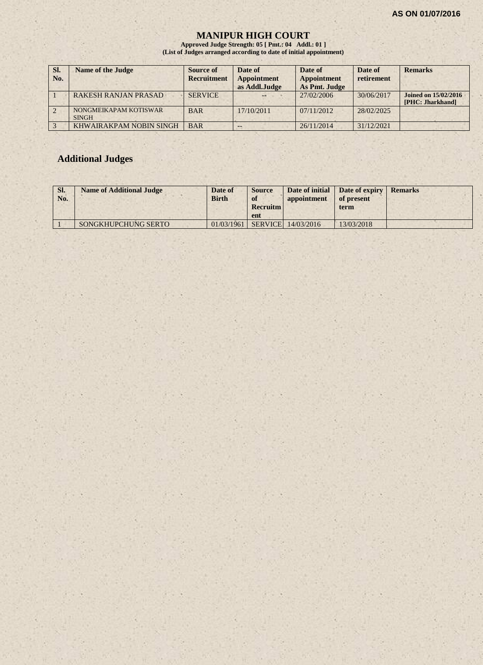#### **MANIPUR HIGH COURT**

**Approved Judge Strength: 05 [ Pmt.: 04 Addl.: 01 ] (List of Judges arranged according to date of initial appointment)**

| Sl.<br>No. | <b>Name of the Judge</b>              | Source of<br><b>Recruitment</b> | Date of<br><b>Appointment</b><br>as Addl.Judge | Date of<br><b>Appointment</b><br>As Pmt. Judge | Date of<br>retirement | <b>Remarks</b>                                  |
|------------|---------------------------------------|---------------------------------|------------------------------------------------|------------------------------------------------|-----------------------|-------------------------------------------------|
|            | <b>RAKESH RANJAN PRASAD</b>           | <b>SERVICE</b>                  |                                                | 27/02/2006                                     | 30/06/2017            | <b>Joined on 15/02/2016</b><br>[PHC: Jharkhand] |
|            | NONGMEIKAPAM KOTISWAR<br><b>SINGH</b> | <b>BAR</b>                      | 17/10/2011                                     | 07/11/2012                                     | 28/02/2025            |                                                 |
|            | KHWAIRAKPAM NOBIN SINGH               | <b>BAR</b>                      |                                                | 26/11/2014                                     | 31/12/2021            |                                                 |

# **Additional Judges**

| SI.<br>No. | <b>Name of Additional Judge</b> | Date of<br><b>Birth</b> | <b>Source</b><br>of<br><b>Recruitm</b><br>ent | Date of initial<br>appointment   | Date of expiry<br>of present<br>term | <b>Remarks</b> |
|------------|---------------------------------|-------------------------|-----------------------------------------------|----------------------------------|--------------------------------------|----------------|
|            | <b>SONGKHUPCHUNG SERTO</b>      | 01/03/1961              |                                               | $\mid$ SERVICE $\mid$ 14/03/2016 | 13/03/2018                           |                |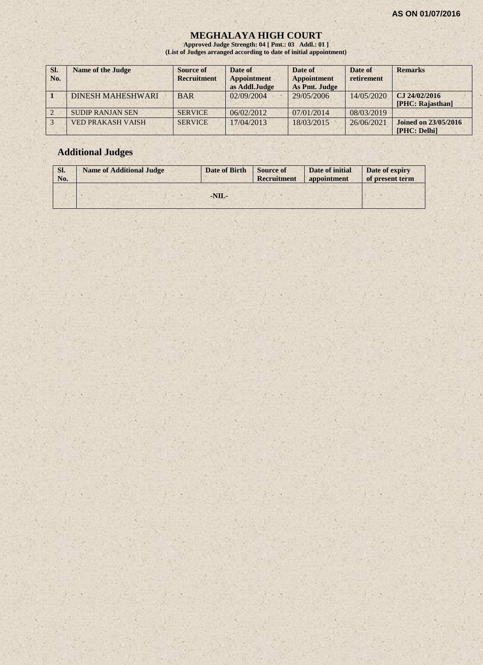#### **MEGHALAYA HIGH COURT**

**Approved Judge Strength: 04 [ Pmt.: 03 Addl.: 01 ] (List of Judges arranged according to date of initial appointment)**

| SI.<br>No. | <b>Name of the Judge</b> | Source of<br><b>Recruitment</b> | Date of<br><b>Appointment</b><br>as Addl.Judge | Date of<br><b>Appointment</b><br>As Pmt. Judge | Date of<br>retirement | <b>Remarks</b>                              |
|------------|--------------------------|---------------------------------|------------------------------------------------|------------------------------------------------|-----------------------|---------------------------------------------|
|            | <b>DINESH MAHESHWARI</b> | <b>BAR</b>                      | 02/09/2004                                     | 29/05/2006                                     | 14/05/2020            | CJ 24/02/2016<br>[PHC: Rajasthan]           |
|            | <b>SUDIP RANJAN SEN</b>  | <b>SERVICE</b>                  | 06/02/2012                                     | 07/01/2014                                     | 08/03/2019            |                                             |
|            | <b>VED PRAKASH VAISH</b> | <b>SERVICE</b>                  | 17/04/2013                                     | 18/03/2015                                     | 26/06/2021            | <b>Joined on 23/05/2016</b><br>[PHC: Delhi] |

# **Additional Judges**

| SI.<br>No. | <b>Name of Additional Judge</b> | Date of Birth | <b>Source of</b><br>Recruitment | Date of initial<br>appointment | Date of expiry<br>of present term |
|------------|---------------------------------|---------------|---------------------------------|--------------------------------|-----------------------------------|
|            |                                 |               |                                 |                                |                                   |
|            |                                 | $-NIL-$       |                                 |                                |                                   |
|            |                                 |               |                                 |                                |                                   |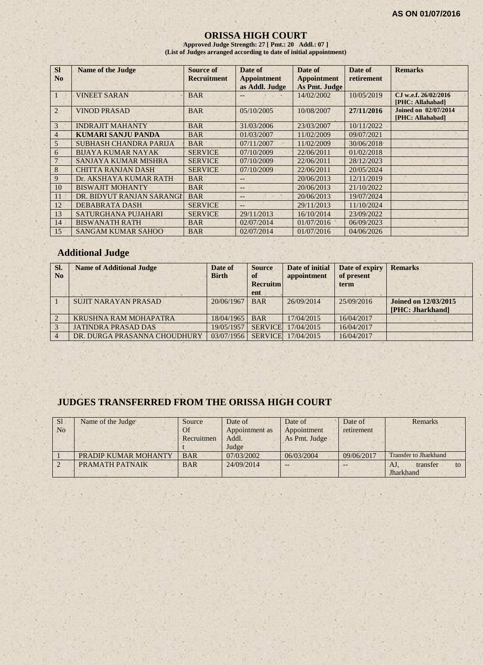#### **ORISSA HIGH COURT**

**Approved Judge Strength: 27 [ Pmt.: 20 Addl.: 07 ] (List of Judges arranged according to date of initial appointment)**

| <b>SI</b>      | <b>Name of the Judge</b>    | Source of          | Date of            | Date of            | Date of    | <b>Remarks</b>                                  |
|----------------|-----------------------------|--------------------|--------------------|--------------------|------------|-------------------------------------------------|
| N <sub>0</sub> |                             | <b>Recruitment</b> | <b>Appointment</b> | <b>Appointment</b> | retirement |                                                 |
|                |                             |                    | as Addl. Judge     | As Pmt. Judge      |            |                                                 |
| -1             | <b>VINEET SARAN</b>         | <b>BAR</b>         | $-$                | 14/02/2002         | 10/05/2019 | CJ w.e.f. 26/02/2016<br>[PHC: Allahabad]        |
| 2              | <b>VINOD PRASAD</b>         | <b>BAR</b>         | 05/10/2005         | 10/08/2007         | 27/11/2016 | <b>Joined on 02/07/2014</b><br>[PHC: Allahabad] |
| 3              | <b>INDRAJIT MAHANTY</b>     | <b>BAR</b>         | 31/03/2006         | 23/03/2007         | 10/11/2022 |                                                 |
| 4              | <b>KUMARI SANJU PANDA</b>   | <b>BAR</b>         | 01/03/2007         | 11/02/2009         | 09/07/2021 |                                                 |
| 5              | SUBHASH CHANDRA PARIJA      | <b>BAR</b>         | 07/11/2007         | 11/02/2009         | 30/06/2018 |                                                 |
| 6              | <b>BIJAYA KUMAR NAYAK</b>   | <b>SERVICE</b>     | 07/10/2009         | 22/06/2011         | 01/02/2018 |                                                 |
| $7 -$          | <b>SANJAYA KUMAR MISHRA</b> | <b>SERVICE</b>     | 07/10/2009         | 22/06/2011         | 28/12/2023 |                                                 |
| 8              | <b>CHITTA RANJAN DASH</b>   | <b>SERVICE</b>     | 07/10/2009         | 22/06/2011         | 20/05/2024 |                                                 |
| 9              | Dr. AKSHAYA KUMAR RATH      | <b>BAR</b>         | --                 | 20/06/2013         | 12/11/2019 |                                                 |
| 10             | <b>BISWAJIT MOHANTY</b>     | <b>BAR</b>         | --                 | 20/06/2013         | 21/10/2022 |                                                 |
| 11             | DR. BIDYUT RANJAN SARANGI   | <b>BAR</b>         | --                 | 20/06/2013         | 19/07/2024 |                                                 |
| 12             | <b>DEBABRATA DASH</b>       | <b>SERVICE</b>     | $-$                | 29/11/2013         | 11/10/2024 |                                                 |
| 13             | <b>SATURGHANA PUJAHARI</b>  | <b>SERVICE</b>     | 29/11/2013         | 16/10/2014         | 23/09/2022 |                                                 |
| 14             | <b>BISWANATH RATH</b>       | <b>BAR</b>         | 02/07/2014         | 01/07/2016         | 06/09/2023 |                                                 |
| 15             | <b>SANGAM KUMAR SAHOO</b>   | <b>BAR</b>         | 02/07/2014         | 01/07/2016         | 04/06/2026 |                                                 |

# **Additional Judge**

| SI.<br>N <sub>0</sub> | <b>Name of Additional Judge</b> | Date of<br><b>Birth</b> | <b>Source</b><br>of<br><b>Recruitm</b><br>ent | Date of initial<br>appointment | Date of expiry<br>of present<br>term | <b>Remarks</b>                                  |
|-----------------------|---------------------------------|-------------------------|-----------------------------------------------|--------------------------------|--------------------------------------|-------------------------------------------------|
|                       | <b>SUJIT NARAYAN PRASAD</b>     | 20/06/1967              | <b>BAR</b>                                    | 26/09/2014                     | 25/09/2016                           | <b>Joined on 12/03/2015</b><br>[PHC: Jharkhand] |
|                       | KRUSHNA RAM MOHAPATRA           | 18/04/1965              | <b>BAR</b>                                    | 17/04/2015                     | 16/04/2017                           |                                                 |
|                       | <b>JATINDRA PRASAD DAS</b>      | 19/05/1957              | <b>SERVICE</b>                                | 17/04/2015                     | 16/04/2017                           |                                                 |
|                       | DR. DURGA PRASANNA CHOUDHURY    | 03/07/1956              | <b>SERVICE</b>                                | 17/04/2015                     | 16/04/2017                           |                                                 |

# **JUDGES TRANSFERRED FROM THE ORISSA HIGH COURT**

| <sub>S1</sub>  | Name of the Judge    | Source     | Date of        | Date of       | Date of    | <b>Remarks</b>               |
|----------------|----------------------|------------|----------------|---------------|------------|------------------------------|
| N <sub>o</sub> |                      | Of         | Appointment as | Appointment   | retirement |                              |
|                |                      | Recruitmen | Addl.          | As Pmt. Judge |            |                              |
|                |                      |            | Judge          |               |            |                              |
|                | PRADIP KUMAR MOHANTY | <b>BAR</b> | 07/03/2002     | 06/03/2004    | 09/06/2017 | <b>Transfer to Jharkhand</b> |
|                | PRAMATH PATNAIK      | <b>BAR</b> | 24/09/2014     | $ -$          |            | transfer<br>to               |
|                |                      |            |                |               |            | Jharkhand                    |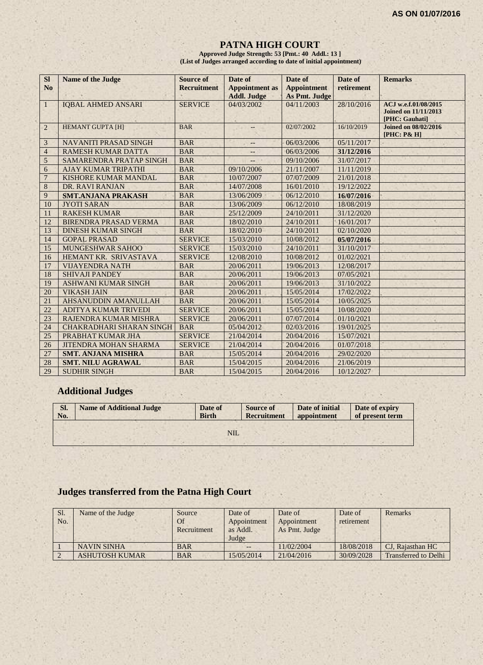#### **PATNA HIGH COURT**

**Approved Judge Strength: 53 [Pmt.: 40 Addl.: 13 ] (List of Judges arranged according to date of initial appointment)**

| <b>SI</b><br>N <sub>o</sub> | <b>Name of the Judge</b>        | <b>Source of</b><br><b>Recruitment</b> | Date of<br><b>Appointment</b> as | Date of<br><b>Appointment</b> | Date of<br>retirement | <b>Remarks</b>                                                        |
|-----------------------------|---------------------------------|----------------------------------------|----------------------------------|-------------------------------|-----------------------|-----------------------------------------------------------------------|
|                             |                                 |                                        | <b>Addl. Judge</b>               | As Pmt. Judge                 |                       |                                                                       |
| $\mathbf{1}$                | <b>IOBAL AHMED ANSARI</b>       | <b>SERVICE</b>                         | 04/03/2002                       | 04/11/2003                    | 28/10/2016            | ACJ w.e.f.01/08/2015<br><b>Joined on 11/11/2013</b><br>[PHC: Gauhati] |
| 2                           | <b>HEMANT GUPTA [H]</b>         | <b>BAR</b>                             |                                  | 02/07/2002                    | 16/10/2019            | <b>Joined on 08/02/2016</b><br>[PHC: P& H]                            |
| 3                           | <b>NAVANITI PRASAD SINGH</b>    | <b>BAR</b>                             | --                               | 06/03/2006                    | 05/11/2017            |                                                                       |
| $\overline{4}$              | <b>RAMESH KUMAR DATTA</b>       | <b>BAR</b>                             | $-$                              | 06/03/2006                    | 31/12/2016            |                                                                       |
| 5                           | SAMARENDRA PRATAP SINGH         | <b>BAR</b>                             |                                  | 09/10/2006                    | 31/07/2017            |                                                                       |
| 6                           | <b>AJAY KUMAR TRIPATHI</b>      | <b>BAR</b>                             | 09/10/2006                       | 21/11/2007                    | 11/11/2019            |                                                                       |
| $\overline{7}$              | <b>KISHORE KUMAR MANDAL</b>     | <b>BAR</b>                             | 10/07/2007                       | 07/07/2009                    | 21/01/2018            |                                                                       |
| $\,8\,$                     | DR. RAVI RANJAN                 | <b>BAR</b>                             | 14/07/2008                       | 16/01/2010                    | 19/12/2022            |                                                                       |
| 9                           | <b>SMT.ANJANA PRAKASH</b>       | <b>BAR</b>                             | 13/06/2009                       | 06/12/2010                    | 16/07/2016            |                                                                       |
| 10                          | <b>JYOTI SARAN</b>              | <b>BAR</b>                             | 13/06/2009                       | 06/12/2010                    | 18/08/2019            |                                                                       |
| 11                          | <b>RAKESH KUMAR</b>             | <b>BAR</b>                             | 25/12/2009                       | 24/10/2011                    | 31/12/2020            |                                                                       |
| 12                          | <b>BIRENDRA PRASAD VERMA</b>    | <b>BAR</b>                             | 18/02/2010                       | 24/10/2011                    | 16/01/2017            |                                                                       |
| 13                          | <b>DINESH KUMAR SINGH</b>       | <b>BAR</b>                             | 18/02/2010                       | 24/10/2011                    | 02/10/2020            |                                                                       |
| 14                          | <b>GOPAL PRASAD</b>             | <b>SERVICE</b>                         | 15/03/2010                       | 10/08/2012                    | 05/07/2016            |                                                                       |
| 15                          | <b>MUNGESHWAR SAHOO</b>         | <b>SERVICE</b>                         | 15/03/2010                       | 24/10/2011                    | 31/10/2017            |                                                                       |
| 16                          | HEMANT KR. SRIVASTAVA           | <b>SERVICE</b>                         | 12/08/2010                       | 10/08/2012                    | 01/02/2021            |                                                                       |
| 17                          | <b>VIJAYENDRA NATH</b>          | <b>BAR</b>                             | 20/06/2011                       | 19/06/2013                    | 12/08/2017            |                                                                       |
| 18                          | <b>SHIVAJI PANDEY</b>           | <b>BAR</b>                             | 20/06/2011                       | 19/06/2013                    | 07/05/2021            |                                                                       |
| 19                          | <b>ASHWANI KUMAR SINGH</b>      | <b>BAR</b>                             | 20/06/2011                       | 19/06/2013                    | 31/10/2022            |                                                                       |
| 20                          | <b>VIKASH JAIN</b>              | <b>BAR</b>                             | 20/06/2011                       | 15/05/2014                    | 17/02/2022            |                                                                       |
| 21                          | AHSANUDDIN AMANULLAH            | <b>BAR</b>                             | 20/06/2011                       | 15/05/2014                    | 10/05/2025            |                                                                       |
| 22                          | ADITYA KUMAR TRIVEDI            | <b>SERVICE</b>                         | 20/06/2011                       | 15/05/2014                    | 10/08/2020            |                                                                       |
| 23                          | RAJENDRA KUMAR MISHRA           | <b>SERVICE</b>                         | 20/06/2011                       | 07/07/2014                    | 01/10/2021            |                                                                       |
| 24                          | <b>CHAKRADHARI SHARAN SINGH</b> | <b>BAR</b>                             | 05/04/2012                       | 02/03/2016                    | 19/01/2025            |                                                                       |
| 25                          | PRABHAT KUMAR JHA               | <b>SERVICE</b>                         | 21/04/2014                       | 20/04/2016                    | 15/07/2021            |                                                                       |
| 26                          | <b>JITENDRA MOHAN SHARMA</b>    | <b>SERVICE</b>                         | 21/04/2014                       | 20/04/2016                    | 01/07/2018            |                                                                       |
| 27                          | <b>SMT. ANJANA MISHRA</b>       | <b>BAR</b>                             | 15/05/2014                       | 20/04/2016                    | 29/02/2020            |                                                                       |
| 28                          | <b>SMT. NILU AGRAWAL</b>        | <b>BAR</b>                             | 15/04/2015                       | 20/04/2016                    | 21/06/2019            |                                                                       |
| 29                          | <b>SUDHIR SINGH</b>             | <b>BAR</b>                             | 15/04/2015                       | 20/04/2016                    | 10/12/2027            |                                                                       |

# **Additional Judges**

| SI.<br>No. | <b>Name of Additional Judge</b> | Date of<br><b>Birth</b> | <b>Source of</b><br><b>Recruitment</b> | Date of initial<br>appointment | Date of expiry<br>of present term |
|------------|---------------------------------|-------------------------|----------------------------------------|--------------------------------|-----------------------------------|
|            |                                 | NIL.                    |                                        |                                |                                   |
|            |                                 |                         |                                        |                                |                                   |

# **Judges transferred from the Patna High Court**

| Sl.<br>No. | Name of the Judge     | Source<br>Of<br>Recruitment | Date of<br>Appointment<br>as Addl.<br>Judge | Date of<br>Appointment<br>As Pmt. Judge | Date of<br>retirement | Remarks                     |
|------------|-----------------------|-----------------------------|---------------------------------------------|-----------------------------------------|-----------------------|-----------------------------|
|            | <b>NAVIN SINHA</b>    | <b>BAR</b>                  |                                             | 11/02/2004                              | 18/08/2018            | CJ, Rajasthan HC            |
|            | <b>ASHUTOSH KUMAR</b> | <b>BAR</b>                  | 15/05/2014                                  | 21/04/2016                              | 30/09/2028            | <b>Transferred to Delhi</b> |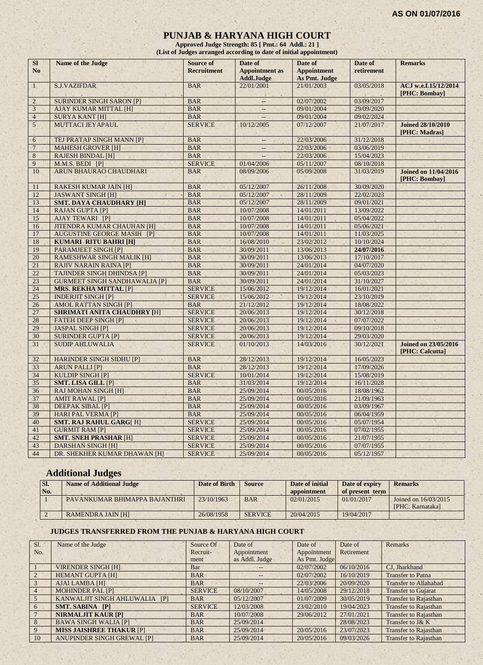#### **PUNJAB & HARYANA HIGH COURT**

**Approved Judge Strength: 85 [ Pmt.: 64 Addl.: 21 ] (List of Judges arranged according to date of initial appointment)**

| SI<br>N <sub>o</sub> | Name of the Judge                    | <b>Source of</b><br><b>Recruitment</b> | Date of<br><b>Appointment</b> as<br><b>Addl.Judge</b> | Date of<br><b>Appointment</b><br>As Pmt. Judge | Date of<br>retirement | <b>Remarks</b>                                 |
|----------------------|--------------------------------------|----------------------------------------|-------------------------------------------------------|------------------------------------------------|-----------------------|------------------------------------------------|
| $\mathbf{1}$         | <b>S.J.VAZIFDAR</b>                  | <b>BAR</b>                             | 22/01/2001                                            | 21/01/2003                                     | 03/05/2018            | ACJ w.e.f.15/12/2014<br>[PHC: Bombay]          |
| $\overline{c}$       | <b>SURINDER SINGH SARON [P]</b>      | <b>BAR</b>                             | $\overline{a}$                                        | 02/07/2002                                     | 03/09/2017            |                                                |
| 3                    | <b>AJAY KUMAR MITTAL [H]</b>         | <b>BAR</b>                             | $\cdots$                                              | 09/01/2004                                     | 29/09/2020            |                                                |
| $\overline{4}$       | <b>SURYA KANT [H]</b>                | <b>BAR</b>                             | $\overline{\phantom{a}}$                              | 09/01/2004                                     | 09/02/2024            |                                                |
| 5 <sup>1</sup>       | MUTTACI JEYAPAUL                     | <b>SERVICE</b>                         | 10/12/2005                                            | 07/12/2007                                     | 21/07/2017            | <b>Joined 28/10/2010</b><br>[PHC: Madras]      |
| 6                    | TEJ PRATAP SINGH MANN [P]            | <b>BAR</b>                             | $\overline{\phantom{a}}$                              | 22/03/2006                                     | 31/12/2018            |                                                |
| $\overline{7}$       | <b>MAHESH GROVER [H]</b>             | <b>BAR</b>                             |                                                       | 22/03/2006                                     | 03/06/2019            |                                                |
| $\,8\,$              | <b>RAJESH BINDAL [H]</b>             | <b>BAR</b>                             |                                                       | 22/03/2006                                     | 15/04/2023            |                                                |
| 9                    | M.M.S. BEDI [P]                      | <b>SERVICE</b>                         | 01/04/2006                                            | 05/11/2007                                     | 08/10/2018            |                                                |
| 10                   | ARUN BHAURAO CHAUDHARI               | <b>BAR</b>                             | 08/09/2006                                            | 05/09/2008                                     | 31/03/2019            | <b>Joined on 11/04/2016</b><br>[PHC: Bombay]   |
| 11                   | <b>RAKESH KUMAR JAIN [H]</b>         | <b>BAR</b>                             | 05/12/2007                                            | 26/11/2008                                     | 30/09/2020            |                                                |
| 12                   | <b>JASWANT SINGH [H]</b>             | <b>BAR</b>                             | 05/12/2007                                            | 28/11/2009                                     | 22/02/2023            |                                                |
| 13                   | <b>SMT. DAYA CHAUDHARY [H]</b>       | <b>BAR</b>                             | 05/12/2007                                            | 28/11/2009                                     | 09/01/2021            |                                                |
| 14                   | <b>RAJAN GUPTA [P]</b>               | <b>BAR</b>                             | 10/07/2008                                            | 14/01/2011                                     | 13/09/2022            |                                                |
| 15                   | <b>AJAY TEWARI [P]</b>               | <b>BAR</b>                             | 10/07/2008                                            | 14/01/2011                                     | 05/04/2022            |                                                |
| 16                   | <b>JITENDRA KUMAR CHAUHAN [H]</b>    | <b>BAR</b>                             | 10/07/2008                                            | 14/01/2011                                     | 05/06/2021            |                                                |
| 17                   | <b>AUGUSTINE GEORGE MASIH [P]</b>    | <b>BAR</b>                             | 10/07/2008                                            | 14/01/2011                                     | 11/03/2025            |                                                |
| 18                   | <b>KUMARI RITU BAHRI [H]</b>         | <b>BAR</b>                             | 16/08/2010                                            | 23/02/2012                                     | 10/10/2024            |                                                |
| 19                   | PARAMJEET SINGH [P]                  | <b>BAR</b>                             | 30/09/2011                                            | 13/06/2013                                     | 24/07/2016            |                                                |
| 20                   | <b>RAMESHWAR SINGH MALIK [H]</b>     | <b>BAR</b>                             | 30/09/2011                                            | 13/06/2013                                     | 17/10/2017            |                                                |
| 21                   | <b>RAJIV NARAIN RAINA [P]</b>        | <b>BAR</b>                             | 30/09/2011                                            | 24/01/2014                                     | 04/07/2020            |                                                |
| 22                   | <b>TAJINDER SINGH DHINDSA [P]</b>    | <b>BAR</b>                             | 30/09/2011                                            | 24/01/2014                                     | 05/03/2023            |                                                |
| 23                   | <b>GURMEET SINGH SANDHAWALIA [P]</b> | <b>BAR</b>                             | 30/09/2011                                            | 24/01/2014                                     | 31/10/2027            |                                                |
| 24                   | <b>MRS. REKHA MITTAL [P]</b>         | <b>SERVICE</b>                         | 15/06/2012                                            | 19/12/2014                                     | 16/01/2021            |                                                |
| 25                   | <b>INDERJIT SINGH [P]</b>            | <b>SERVICE</b>                         | 15/06/2012<br>×                                       | 19/12/2014                                     | 23/10/2019            |                                                |
| 26                   | <b>AMOL RATTAN SINGH [P]</b>         | <b>BAR</b>                             | 21/12/2012                                            | 19/12/2014                                     | 18/08/2022            |                                                |
| 27                   | <b>SHRIMATI ANITA CHAUDHRY [H]</b>   | <b>SERVICE</b>                         | 20/06/2013                                            | 19/12/2014                                     | 30/12/2018            |                                                |
| 28                   | <b>FATEH DEEP SINGH [P]</b><br>a.    | <b>SERVICE</b>                         | 20/06/2013                                            | 19/12/2014                                     | 07/07/2022            | $\alpha$                                       |
| 29                   | <b>JASPAL SINGH [P]</b>              | <b>SERVICE</b>                         | 20/06/2013                                            | 19/12/2014                                     | 09/10/2018            |                                                |
| 30                   | <b>SURINDER GUPTA [P]</b>            | <b>SERVICE</b>                         | 20/06/2013                                            | 19/12/2014                                     | 29/03/2020            |                                                |
| 31                   | <b>SUDIP AHLUWALIA</b>               | <b>SERVICE</b>                         | 01/10/2013                                            | 14/03/2016                                     | 30/12/2021            | <b>Joined on 23/05/2016</b><br>[PHC: Calcutta] |
| 32                   | <b>HARINDER SINGH SIDHU [P]</b>      | <b>BAR</b>                             | 28/12/2013                                            | 19/12/2014                                     | 16/05/2023            |                                                |
| 33                   | <b>ARUN PALLI [P]</b>                | <b>BAR</b>                             | 28/12/2013                                            | 19/12/2014                                     | 17/09/2026            |                                                |
| 34                   | <b>KULDIP SINGH [P]</b>              | <b>SERVICE</b>                         | 10/01/2014                                            | 19/12/2014                                     | 15/08/2019            |                                                |
| 35                   | <b>SMT. LISA GILL [P]</b>            | <b>BAR</b>                             | 31/03/2014                                            | 19/12/2014                                     | 16/11/2028            |                                                |
| 36                   | <b>RAJ MOHAN SINGH [H]</b>           | <b>BAR</b>                             | 25/09/2014                                            | 00/05/2016                                     | 18/08/1962            |                                                |
| 37                   | <b>AMIT RAWAL [P]</b>                | <b>BAR</b>                             | 25/09/2014                                            | 00/05/2016                                     | 21/09/1963            |                                                |
| 38                   | <b>DEEPAK SIBAL [P]</b>              | <b>BAR</b>                             | 25/09/2014                                            | 00/05/2016                                     | 03/09/1967            |                                                |
| 39                   | <b>HARI PAL VERMA [P]</b>            | <b>BAR</b>                             | 25/09/2014                                            | 00/05/2016                                     | 06/04/1959            |                                                |
| 40                   | <b>SMT. RAJ RAHUL GARG[H]</b>        | <b>SERVICE</b>                         | 25/09/2014                                            | 00/05/2016                                     | 05/07/1954            |                                                |
| 41                   | <b>GURMIT RAM [P]</b>                | <b>SERVICE</b>                         | 25/09/2014                                            | 00/05/2016                                     | 07/02/1955            |                                                |
| 42                   | <b>SMT. SNEH PRASHAR [H]</b>         | <b>SERVICE</b>                         | 25/09/2014                                            | 00/05/2016                                     | 21/07/1955            |                                                |
| 43                   | <b>DARSHAN SINGH [H]</b>             | <b>SERVICE</b>                         | 25/09/2014                                            | 00/05/2016                                     | 07/07/1955            |                                                |
| 44                   | DR. SHEKHER KUMAR DHAWAN [H]         | <b>SERVICE</b>                         | 25/09/2014                                            | 00/05/2016                                     | 05/12/1957            |                                                |

# **Additional Judges**

| SI.<br>No. | <b>Name of Additional Judge</b> | Date of Birth | <b>Source</b>  | Date of initial<br>appointment | Date of expiry<br>of present term | <b>Remarks</b>                           |
|------------|---------------------------------|---------------|----------------|--------------------------------|-----------------------------------|------------------------------------------|
|            | PAVANKUMAR BHIMAPPA BAJANTHRI   | 23/10/1963    | <b>BAR</b>     | 02/01/2015                     | 01/01/2017                        | Joined on 16/03/2015<br>[PHC: Karnataka] |
|            | <b>RAMENDRA JAIN [H]</b>        | 26/08/1958    | <b>SERVICE</b> | 20/04/2015                     | 19/04/2017                        |                                          |

#### **JUDGES TRANSFERRED FROM THE PUNJAB & HARYANA HIGH COURT**

| Sl.            | Name of the Judge                 | Source Of      | Date of        | Date of       | Date of    | <b>Remarks</b>               |
|----------------|-----------------------------------|----------------|----------------|---------------|------------|------------------------------|
| No.            |                                   | Recruit-       | Appointment    | Appointment   | Retirement |                              |
|                |                                   | ment           | as Addl. Judge | As Pmt. Judge |            |                              |
|                | <b>VIRENDER SINGH [H]</b>         | Bar            |                | 02/07/2002    | 06/10/2016 | CJ, Jharkhand                |
|                | <b>HEMANT GUPTA [H]</b>           | <b>BAR</b>     |                | 02/07/2002    | 16/10/2019 | <b>Transfer to Patna</b>     |
| 3              | AJAI LAMBA [H]                    | <b>BAR</b>     | $- -$          | 22/03/2006    | 20/09/2020 | <b>Transfer to Allahabad</b> |
| $\overline{4}$ | <b>MOHINDER PAL [P]</b>           | <b>SERVICE</b> | 08/10/2007     | 14/05/2008    | 29/12/2018 | <b>Transfer to Gujarat</b>   |
|                | KANWALJIT SINGH AHLUWALIA [P]     | <b>BAR</b>     | 05/12/2007     | 01/07/2009    | 30/05/2019 | <b>Transfer to Rajasthan</b> |
| -6             | <b>SMT. SABINA [P]</b>            | <b>SERVICE</b> | 12/03/2008     | 23/02/2010    | 19/04/2023 | <b>Transfer to Rajasthan</b> |
|                | <b>NIRMALJIT KAUR [P]</b>         | <b>BAR</b>     | 10/07/2008     | 29/06/2012    | 27/01/2021 | <b>Transfer to Rajasthan</b> |
| 8              | <b>BAWA SINGH WALIA [P]</b>       | <b>BAR</b>     | 25/09/2014     |               | 28/08/2023 | Transfer to J& K             |
| 9              | <b>MISS JAISHREE THAKUR [P]</b>   | <b>BAR</b>     | 25/09/2014     | 20/05/2016    | 23/07/2023 | <b>Transfer to Rajasthan</b> |
| 10             | <b>ANUPINDER SINGH GREWAL [P]</b> | <b>BAR</b>     | 25/09/2014     | 20/05/2016    | 09/03/2026 | <b>Transfer to Rajasthan</b> |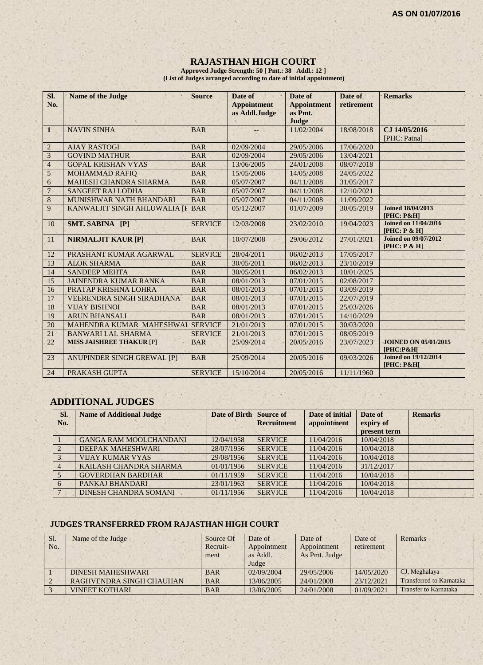#### **RAJASTHAN HIGH COURT**

**Approved Judge Strength: 50 [ Pmt.: 38 Addl.: 12 ] (List of Judges arranged according to date of initial appointment)**

| SI.<br>No.     | <b>Name of the Judge</b>        | <b>Source</b>  | Date of<br><b>Appointment</b><br>as Addl.Judge | Date of<br><b>Appointment</b><br>as Pmt. | Date of<br>retirement | <b>Remarks</b>                               |
|----------------|---------------------------------|----------------|------------------------------------------------|------------------------------------------|-----------------------|----------------------------------------------|
| $\mathbf{1}$   | <b>NAVIN SINHA</b>              | <b>BAR</b>     |                                                | Judge<br>11/02/2004                      | 18/08/2018            | CJ 14/05/2016<br>[PHC: Patna]                |
| $\overline{2}$ | <b>AJAY RASTOGI</b>             | <b>BAR</b>     | 02/09/2004                                     | 29/05/2006                               | 17/06/2020            |                                              |
| $\overline{3}$ | <b>GOVIND MATHUR</b>            | <b>BAR</b>     | 02/09/2004                                     | 29/05/2006                               | 13/04/2021            |                                              |
| $\overline{4}$ | <b>GOPAL KRISHAN VYAS</b>       | <b>BAR</b>     | 13/06/2005                                     | 24/01/2008                               | 08/07/2018            |                                              |
| $\mathfrak{S}$ | <b>MOHAMMAD RAFIQ</b>           | <b>BAR</b>     | 15/05/2006                                     | 14/05/2008                               | 24/05/2022            |                                              |
| 6              | <b>MAHESH CHANDRA SHARMA</b>    | <b>BAR</b>     | 05/07/2007                                     | 04/11/2008                               | 31/05/2017            |                                              |
| $\overline{7}$ | <b>SANGEET RAJ LODHA</b>        | <b>BAR</b>     | 05/07/2007                                     | 04/11/2008                               | 12/10/2021            |                                              |
| 8              | MUNISHWAR NATH BHANDARI         | <b>BAR</b>     | 05/07/2007                                     | 04/11/2008                               | 11/09/2022            |                                              |
| 9              | KANWALJIT SINGH AHLUWALIA [I    | <b>BAR</b>     | 05/12/2007                                     | 01/07/2009                               | 30/05/2019            | <b>Joined 18/04/2013</b><br>$[PHC: P\&H]$    |
| 10             | <b>SMT. SABINA [P]</b>          | <b>SERVICE</b> | 12/03/2008                                     | 23/02/2010                               | 19/04/2023            | <b>Joined on 11/04/2016</b><br>[PHC: P & H]  |
| 11             | <b>NIRMALJIT KAUR [P]</b>       | <b>BAR</b>     | 10/07/2008                                     | 29/06/2012                               | 27/01/2021            | <b>Joined on 09/07/2012</b><br>[PHC: P & H]  |
| 12             | PRASHANT KUMAR AGARWAL          | <b>SERVICE</b> | 28/04/2011                                     | 06/02/2013                               | 17/05/2017            |                                              |
| 13             | <b>ALOK SHARMA</b>              | <b>BAR</b>     | 30/05/2011                                     | 06/02/2013                               | 23/10/2019            |                                              |
| 14             | <b>SANDEEP MEHTA</b>            | <b>BAR</b>     | 30/05/2011                                     | 06/02/2013                               | 10/01/2025            |                                              |
| 15             | <b>JAINENDRA KUMAR RANKA</b>    | <b>BAR</b>     | 08/01/2013                                     | 07/01/2015                               | 02/08/2017            |                                              |
| 16             | PRATAP KRISHNA LOHRA            | <b>BAR</b>     | 08/01/2013                                     | 07/01/2015                               | 03/09/2019            |                                              |
| 17             | VEERENDRA SINGH SIRADHANA       | <b>BAR</b>     | 08/01/2013                                     | 07/01/2015                               | 22/07/2019            |                                              |
| 18             | <b>VIJAY BISHNOI</b>            | <b>BAR</b>     | 08/01/2013                                     | 07/01/2015                               | 25/03/2026            |                                              |
| 19             | <b>ARUN BHANSALI</b>            | <b>BAR</b>     | 08/01/2013                                     | 07/01/2015                               | 14/10/2029            |                                              |
| 20             | MAHENDRA KUMAR MAHESHWA         | <b>SERVICE</b> | 21/01/2013                                     | 07/01/2015                               | 30/03/2020            |                                              |
| 21             | <b>BANWARI LAL SHARMA</b>       | <b>SERVICE</b> | 21/01/2013                                     | 07/01/2015                               | 08/05/2019            |                                              |
| 22             | <b>MISS JAISHREE THAKUR [P]</b> | <b>BAR</b>     | 25/09/2014                                     | 20/05/2016                               | 23/07/2023            | <b>JOINED ON 05/01/2015</b><br>[PHC:P&H]     |
| 23             | ANUPINDER SINGH GREWAL [P]      | <b>BAR</b>     | 25/09/2014                                     | 20/05/2016                               | 09/03/2026            | <b>Joined on 19/12/2014</b><br>$[PHC: P\&H]$ |
| 24             | PRAKASH GUPTA                   | <b>SERVICE</b> | 15/10/2014                                     | 20/05/2016                               | 11/11/1960            |                                              |

# **ADDITIONAL JUDGES**

| SI.<br>No. | <b>Name of Additional Judge</b> | Date of Birth Source of | <b>Recruitment</b> | Date of initial<br>appointment | Date of<br>expiry of<br>present term | <b>Remarks</b> |
|------------|---------------------------------|-------------------------|--------------------|--------------------------------|--------------------------------------|----------------|
|            | <b>GANGA RAM MOOLCHANDANI</b>   | 12/04/1958              | <b>SERVICE</b>     | 11/04/2016                     | 10/04/2018                           |                |
|            | DEEPAK MAHESHWARI               | 28/07/1956              | <b>SERVICE</b>     | 11/04/2016                     | 10/04/2018                           |                |
|            | <b>VIJAY KUMAR VYAS</b>         | 29/08/1956              | <b>SERVICE</b>     | 11/04/2016                     | 10/04/2018                           |                |
|            | KAILASH CHANDRA SHARMA          | 01/01/1956              | <b>SERVICE</b>     | 11/04/2016                     | 31/12/2017                           |                |
|            | <b>GOVERDHAN BARDHAR</b>        | 01/11/1959              | <b>SERVICE</b>     | 11/04/2016                     | 10/04/2018                           |                |
| 6          | PANKAJ BHANDARI                 | 23/01/1963              | <b>SERVICE</b>     | 11/04/2016                     | 10/04/2018                           |                |
|            | DINESH CHANDRA SOMANI           | 01/11/1956              | <b>SERVICE</b>     | 11/04/2016                     | 10/04/2018                           |                |

#### **JUDGES TRANSFERRED FROM RAJASTHAN HIGH COURT**

| Sl. | Name of the Judge        | Source Of  | Date of     | Date of       | Date of    | Remarks                      |
|-----|--------------------------|------------|-------------|---------------|------------|------------------------------|
| No. |                          | Recruit-   | Appointment | Appointment   | retirement |                              |
|     |                          | ment       | as Addl.    | As Pmt. Judge |            |                              |
|     |                          |            | Judge       |               |            |                              |
|     | <b>DINESH MAHESHWARI</b> | <b>BAR</b> | 02/09/2004  | 29/05/2006    | 14/05/2020 | CJ, Meghalaya                |
|     | RAGHVENDRA SINGH CHAUHAN | <b>BAR</b> | 13/06/2005  | 24/01/2008    | 23/12/2021 | Transferred to Karnataka     |
|     | <b>VINEET KOTHARI</b>    | <b>BAR</b> | 13/06/2005  | 24/01/2008    | 01/09/2021 | <b>Transfer to Karnataka</b> |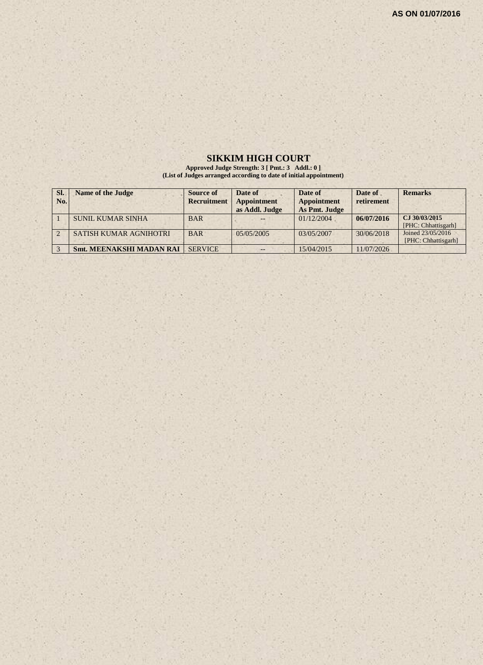#### **SIKKIM HIGH COURT**

**Approved Judge Strength: 3 [ Pmt.: 3 Addl.: 0 ] (List of Judges arranged according to date of initial appointment)**

| SI. | <b>Name of the Judge</b>        | Source of          | Date of        | Date of            | Date of    | <b>Remarks</b>                           |
|-----|---------------------------------|--------------------|----------------|--------------------|------------|------------------------------------------|
| No. |                                 | <b>Recruitment</b> | Appointment    | <b>Appointment</b> | retirement |                                          |
|     |                                 |                    | as Addl. Judge | As Pmt. Judge      |            |                                          |
|     | <b>SUNIL KUMAR SINHA</b>        | <b>BAR</b>         |                | 01/12/2004         | 06/07/2016 | CJ 30/03/2015<br>[PHC: Chhattisgarh]     |
|     | SATISH KUMAR AGNIHOTRI          | <b>BAR</b>         | 05/05/2005     | 03/05/2007         | 30/06/2018 | Joined 23/05/2016<br>[PHC: Chhattisgarh] |
|     | <b>Smt. MEENAKSHI MADAN RAI</b> | <b>SERVICE</b>     | --             | 15/04/2015         | 11/07/2026 |                                          |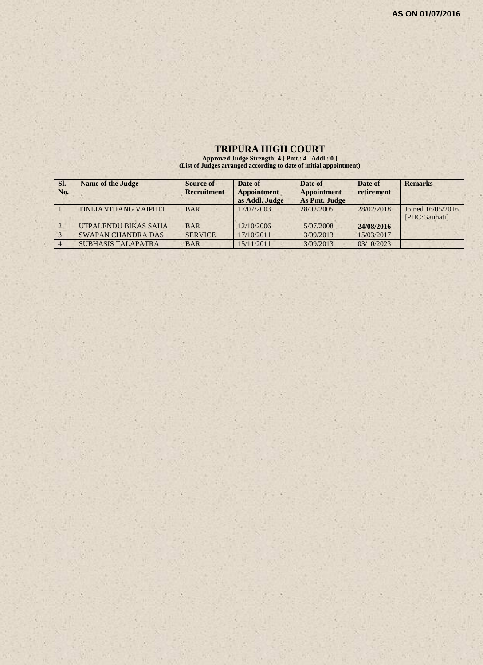# **TRIPURA HIGH COURT**

**Approved Judge Strength: 4 [ Pmt.: 4 Addl.: 0 ] (List of Judges arranged according to date of initial appointment)**

| SI.<br>No. | <b>Name of the Judge</b>    | Source of<br><b>Recruitment</b> | Date of<br><b>Appointment</b><br>as Addl. Judge | Date of<br>Appointment<br>As Pmt. Judge | Date of<br>retirement | <b>Remarks</b>                     |
|------------|-----------------------------|---------------------------------|-------------------------------------------------|-----------------------------------------|-----------------------|------------------------------------|
|            | <b>TINLIANTHANG VAIPHEI</b> | <b>BAR</b>                      | 17/07/2003                                      | 28/02/2005                              | 28/02/2018            | Joined 16/05/2016<br>[PHC:Gauhati] |
|            | UTPALENDU BIKAS SAHA        | <b>BAR</b>                      | 12/10/2006                                      | 15/07/2008                              | 24/08/2016            |                                    |
|            | <b>SWAPAN CHANDRA DAS</b>   | <b>SERVICE</b>                  | 17/10/2011                                      | 13/09/2013                              | 15/03/2017            |                                    |
|            | <b>SUBHASIS TALAPATRA</b>   | <b>BAR</b>                      | 15/11/2011                                      | 13/09/2013                              | 03/10/2023            |                                    |